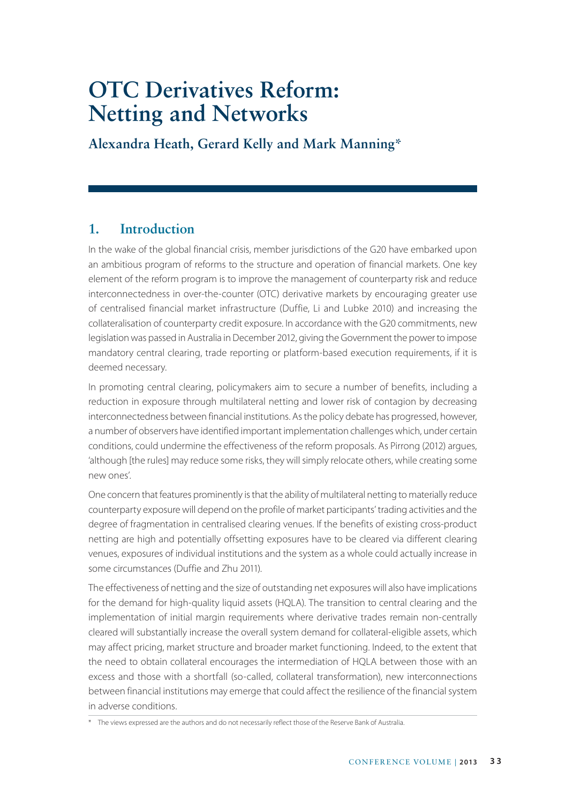# **OTC Derivatives Reform: Netting and Networks**

**Alexandra Heath, Gerard Kelly and Mark Manning\***

# **1. Introduction**

In the wake of the global financial crisis, member jurisdictions of the G20 have embarked upon an ambitious program of reforms to the structure and operation of financial markets. One key element of the reform program is to improve the management of counterparty risk and reduce interconnectedness in over-the-counter (OTC) derivative markets by encouraging greater use of centralised financial market infrastructure (Duffie, Li and Lubke 2010) and increasing the collateralisation of counterparty credit exposure. In accordance with the G20 commitments, new legislation was passed in Australia in December 2012, giving the Government the power to impose mandatory central clearing, trade reporting or platform-based execution requirements, if it is deemed necessary.

In promoting central clearing, policymakers aim to secure a number of benefits, including a reduction in exposure through multilateral netting and lower risk of contagion by decreasing interconnectedness between financial institutions. As the policy debate has progressed, however, a number of observers have identified important implementation challenges which, under certain conditions, could undermine the effectiveness of the reform proposals. As Pirrong (2012) argues, 'although [the rules] may reduce some risks, they will simply relocate others, while creating some new ones'.

One concern that features prominently is that the ability of multilateral netting to materially reduce counterparty exposure will depend on the profile of market participants' trading activities and the degree of fragmentation in centralised clearing venues. If the benefits of existing cross-product netting are high and potentially offsetting exposures have to be cleared via different clearing venues, exposures of individual institutions and the system as a whole could actually increase in some circumstances (Duffie and Zhu 2011).

The effectiveness of netting and the size of outstanding net exposures will also have implications for the demand for high-quality liquid assets (HQLA). The transition to central clearing and the implementation of initial margin requirements where derivative trades remain non-centrally cleared will substantially increase the overall system demand for collateral-eligible assets, which may affect pricing, market structure and broader market functioning. Indeed, to the extent that the need to obtain collateral encourages the intermediation of HQLA between those with an excess and those with a shortfall (so-called, collateral transformation), new interconnections between financial institutions may emerge that could affect the resilience of the financial system in adverse conditions.

<sup>\*</sup> The views expressed are the authors and do not necessarily reflect those of the Reserve Bank of Australia.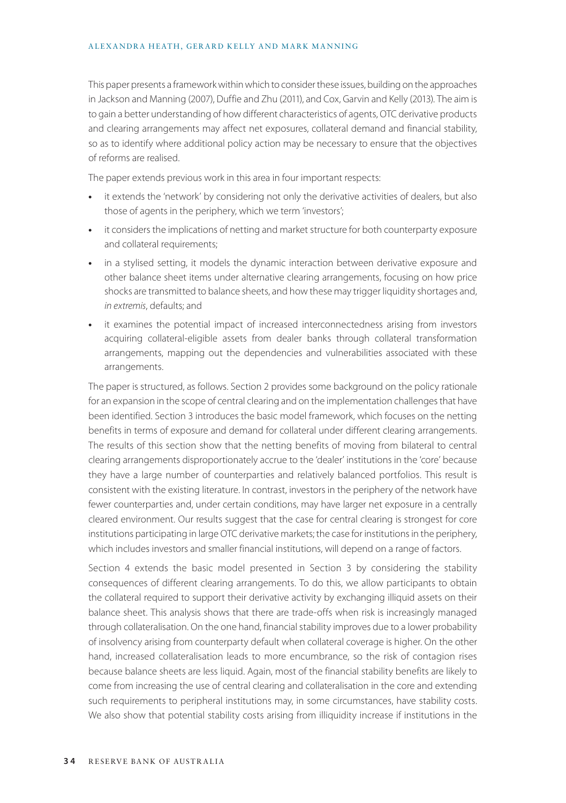#### ALEXANDRA HEATH, GERARD KELLY AND MARK MANNING

This paper presents a framework within which to consider these issues, building on the approaches in Jackson and Manning (2007), Duffie and Zhu (2011), and Cox, Garvin and Kelly (2013). The aim is to gain a better understanding of how different characteristics of agents, OTC derivative products and clearing arrangements may affect net exposures, collateral demand and financial stability, so as to identify where additional policy action may be necessary to ensure that the objectives of reforms are realised.

The paper extends previous work in this area in four important respects:

- **•** it extends the 'network' by considering not only the derivative activities of dealers, but also those of agents in the periphery, which we term 'investors';
- **•** it considers the implications of netting and market structure for both counterparty exposure and collateral requirements;
- **•** in a stylised setting, it models the dynamic interaction between derivative exposure and other balance sheet items under alternative clearing arrangements, focusing on how price shocks are transmitted to balance sheets, and how these may trigger liquidity shortages and, *in extremis*, defaults; and
- **•** it examines the potential impact of increased interconnectedness arising from investors acquiring collateral-eligible assets from dealer banks through collateral transformation arrangements, mapping out the dependencies and vulnerabilities associated with these arrangements.

The paper is structured, as follows. Section 2 provides some background on the policy rationale for an expansion in the scope of central clearing and on the implementation challenges that have been identified. Section 3 introduces the basic model framework, which focuses on the netting benefits in terms of exposure and demand for collateral under different clearing arrangements. The results of this section show that the netting benefits of moving from bilateral to central clearing arrangements disproportionately accrue to the 'dealer' institutions in the 'core' because they have a large number of counterparties and relatively balanced portfolios. This result is consistent with the existing literature. In contrast, investors in the periphery of the network have fewer counterparties and, under certain conditions, may have larger net exposure in a centrally cleared environment. Our results suggest that the case for central clearing is strongest for core institutions participating in large OTC derivative markets; the case for institutions in the periphery, which includes investors and smaller financial institutions, will depend on a range of factors.

Section 4 extends the basic model presented in Section 3 by considering the stability consequences of different clearing arrangements. To do this, we allow participants to obtain the collateral required to support their derivative activity by exchanging illiquid assets on their balance sheet. This analysis shows that there are trade-offs when risk is increasingly managed through collateralisation. On the one hand, financial stability improves due to a lower probability of insolvency arising from counterparty default when collateral coverage is higher. On the other hand, increased collateralisation leads to more encumbrance, so the risk of contagion rises because balance sheets are less liquid. Again, most of the financial stability benefits are likely to come from increasing the use of central clearing and collateralisation in the core and extending such requirements to peripheral institutions may, in some circumstances, have stability costs. We also show that potential stability costs arising from illiquidity increase if institutions in the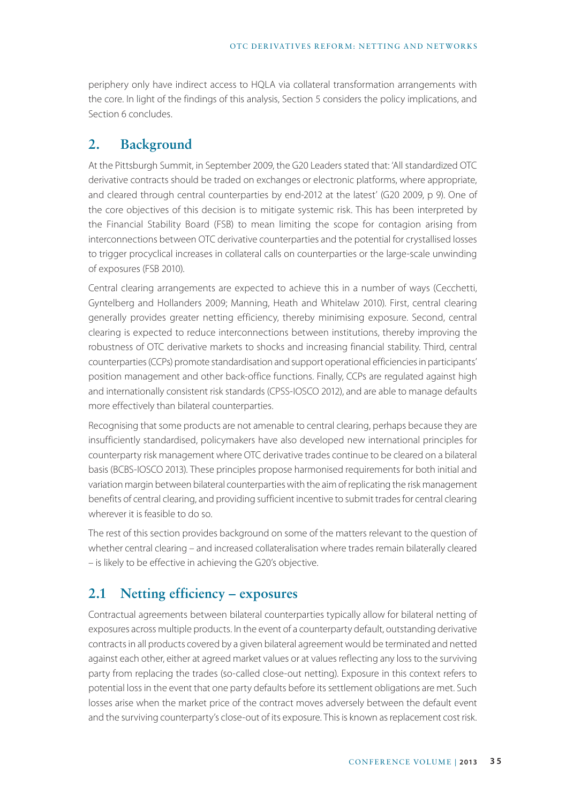periphery only have indirect access to HQLA via collateral transformation arrangements with the core. In light of the findings of this analysis, Section 5 considers the policy implications, and Section 6 concludes.

### **2. Background**

At the Pittsburgh Summit, in September 2009, the G20 Leaders stated that: 'All standardized OTC derivative contracts should be traded on exchanges or electronic platforms, where appropriate, and cleared through central counterparties by end-2012 at the latest' (G20 2009, p 9). One of the core objectives of this decision is to mitigate systemic risk. This has been interpreted by the Financial Stability Board (FSB) to mean limiting the scope for contagion arising from interconnections between OTC derivative counterparties and the potential for crystallised losses to trigger procyclical increases in collateral calls on counterparties or the large-scale unwinding of exposures (FSB 2010).

Central clearing arrangements are expected to achieve this in a number of ways (Cecchetti, Gyntelberg and Hollanders 2009; Manning, Heath and Whitelaw 2010). First, central clearing generally provides greater netting efficiency, thereby minimising exposure. Second, central clearing is expected to reduce interconnections between institutions, thereby improving the robustness of OTC derivative markets to shocks and increasing financial stability. Third, central counterparties (CCPs) promote standardisation and support operational efficiencies in participants' position management and other back-office functions. Finally, CCPs are regulated against high and internationally consistent risk standards (CPSS-IOSCO 2012), and are able to manage defaults more effectively than bilateral counterparties.

Recognising that some products are not amenable to central clearing, perhaps because they are insufficiently standardised, policymakers have also developed new international principles for counterparty risk management where OTC derivative trades continue to be cleared on a bilateral basis (BCBS-IOSCO 2013). These principles propose harmonised requirements for both initial and variation margin between bilateral counterparties with the aim of replicating the risk management benefits of central clearing, and providing sufficient incentive to submit trades for central clearing wherever it is feasible to do so.

The rest of this section provides background on some of the matters relevant to the question of whether central clearing – and increased collateralisation where trades remain bilaterally cleared – is likely to be effective in achieving the G20's objective.

# **2.1 Netting efficiency – exposures**

Contractual agreements between bilateral counterparties typically allow for bilateral netting of exposures across multiple products. In the event of a counterparty default, outstanding derivative contracts in all products covered by a given bilateral agreement would be terminated and netted against each other, either at agreed market values or at values reflecting any loss to the surviving party from replacing the trades (so-called close-out netting). Exposure in this context refers to potential loss in the event that one party defaults before its settlement obligations are met. Such losses arise when the market price of the contract moves adversely between the default event and the surviving counterparty's close-out of its exposure. This is known as replacement cost risk.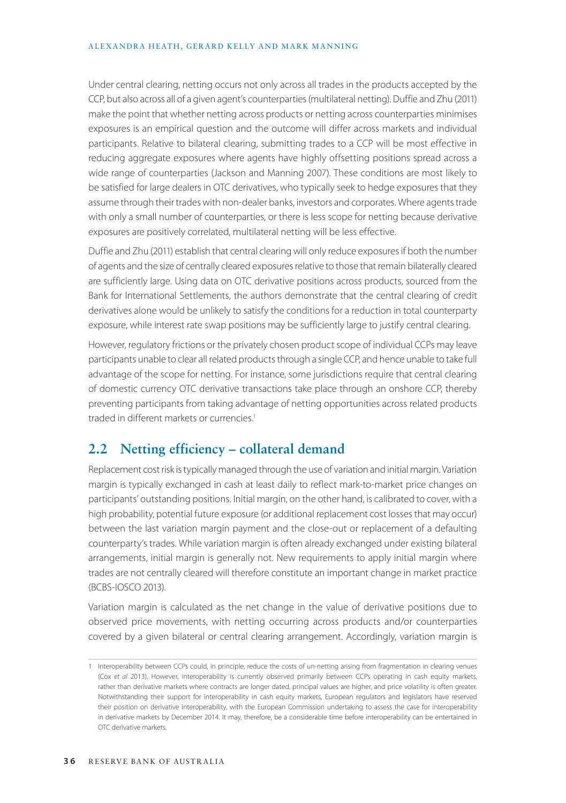#### ALEXANDRA HEATH, GERARD KELLY AND MARK MANNING

Under central clearing, netting occurs not only across all trades in the products accepted by the CCP, but also across all of a given agent's counterparties (multilateral netting). Duffie and Zhu (2011) make the point that whether netting across products or netting across counterparties minimises exposures is an empirical question and the outcome will differ across markets and individual participants. Relative to bilateral clearing, submitting trades to a CCP will be most effective in reducing aggregate exposures where agents have highly offsetting positions spread across a wide range of counterparties (Jackson and Manning 2007). These conditions are most likely to be satisfied for large dealers in OTC derivatives, who typically seek to hedge exposures that they assume through their trades with non-dealer banks, investors and corporates. Where agents trade with only a small number of counterparties, or there is less scope for netting because derivative exposures are positively correlated, multilateral netting will be less effective.

Duffie and Zhu (2011) establish that central clearing will only reduce exposures if both the number of agents and the size of centrally cleared exposures relative to those that remain bilaterally cleared are sufficiently large. Using data on OTC derivative positions across products, sourced from the Bank for International Settlements, the authors demonstrate that the central clearing of credit derivatives alone would be unlikely to satisfy the conditions for a reduction in total counterparty exposure, while interest rate swap positions may be sufficiently large to justify central clearing.

However, regulatory frictions or the privately chosen product scope of individual CCPs may leave participants unable to clear all related products through a single CCP, and hence unable to take full advantage of the scope for netting. For instance, some jurisdictions require that central clearing of domestic currency OTC derivative transactions take place through an onshore CCP, thereby preventing participants from taking advantage of netting opportunities across related products traded in different markets or currencies.<sup>1</sup>

### **2.2 Netting efficiency – collateral demand**

Replacement cost risk is typically managed through the use of variation and initial margin. Variation margin is typically exchanged in cash at least daily to reflect mark-to-market price changes on participants' outstanding positions. Initial margin, on the other hand, is calibrated to cover, with a high probability, potential future exposure (or additional replacement cost losses that may occur) between the last variation margin payment and the close-out or replacement of a defaulting counterparty's trades. While variation margin is often already exchanged under existing bilateral arrangements, initial margin is generally not. New requirements to apply initial margin where trades are not centrally cleared will therefore constitute an important change in market practice (BCBS-IOSCO 2013).

Variation margin is calculated as the net change in the value of derivative positions due to observed price movements, with netting occurring across products and/or counterparties covered by a given bilateral or central clearing arrangement. Accordingly, variation margin is

<sup>1</sup> Interoperability between CCPs could, in principle, reduce the costs of un-netting arising from fragmentation in clearing venues (Cox *et al* 2013). However, interoperability is currently observed primarily between CCPs operating in cash equity markets, rather than derivative markets where contracts are longer dated, principal values are higher, and price volatility is often greater. Notwithstanding their support for interoperability in cash equity markets, European regulators and legislators have reserved their position on derivative interoperability, with the European Commission undertaking to assess the case for interoperability in derivative markets by December 2014. It may, therefore, be a considerable time before interoperability can be entertained in OTC derivative markets.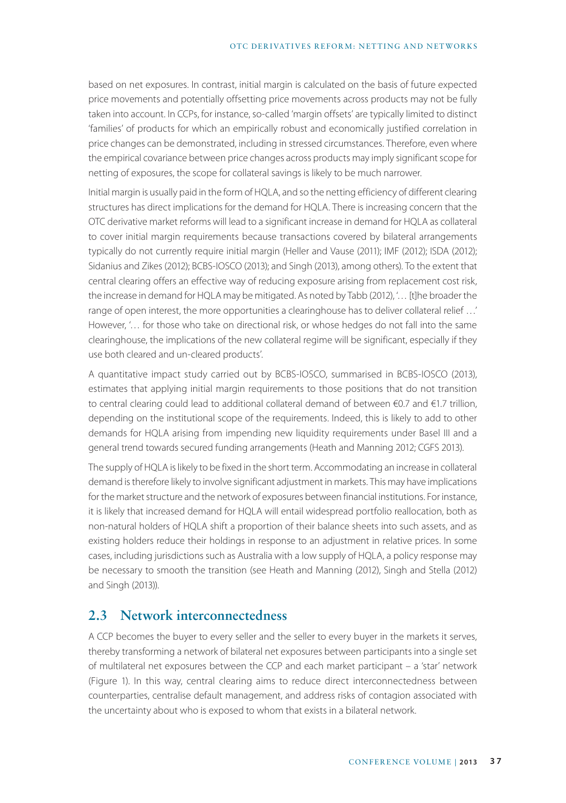based on net exposures. In contrast, initial margin is calculated on the basis of future expected price movements and potentially offsetting price movements across products may not be fully taken into account. In CCPs, for instance, so-called 'margin offsets' are typically limited to distinct 'families' of products for which an empirically robust and economically justified correlation in price changes can be demonstrated, including in stressed circumstances. Therefore, even where the empirical covariance between price changes across products may imply significant scope for netting of exposures, the scope for collateral savings is likely to be much narrower.

Initial margin is usually paid in the form of HQLA, and so the netting efficiency of different clearing structures has direct implications for the demand for HQLA. There is increasing concern that the OTC derivative market reforms will lead to a significant increase in demand for HQLA as collateral to cover initial margin requirements because transactions covered by bilateral arrangements typically do not currently require initial margin (Heller and Vause (2011); IMF (2012); ISDA (2012); Sidanius and Zikes (2012); BCBS-IOSCO (2013); and Singh (2013), among others). To the extent that central clearing offers an effective way of reducing exposure arising from replacement cost risk, the increase in demand for HQLA may be mitigated. As noted by Tabb (2012), '… [t]he broader the range of open interest, the more opportunities a clearinghouse has to deliver collateral relief …' However, '… for those who take on directional risk, or whose hedges do not fall into the same clearinghouse, the implications of the new collateral regime will be significant, especially if they use both cleared and un-cleared products'.

A quantitative impact study carried out by BCBS-IOSCO, summarised in BCBS-IOSCO (2013), estimates that applying initial margin requirements to those positions that do not transition to central clearing could lead to additional collateral demand of between €0.7 and €1.7 trillion, depending on the institutional scope of the requirements. Indeed, this is likely to add to other demands for HQLA arising from impending new liquidity requirements under Basel III and a general trend towards secured funding arrangements (Heath and Manning 2012; CGFS 2013).

The supply of HQLA is likely to be fixed in the short term. Accommodating an increase in collateral demand is therefore likely to involve significant adjustment in markets. This may have implications for the market structure and the network of exposures between financial institutions. For instance, it is likely that increased demand for HQLA will entail widespread portfolio reallocation, both as non-natural holders of HQLA shift a proportion of their balance sheets into such assets, and as existing holders reduce their holdings in response to an adjustment in relative prices. In some cases, including jurisdictions such as Australia with a low supply of HQLA, a policy response may be necessary to smooth the transition (see Heath and Manning (2012), Singh and Stella (2012) and Singh (2013)).

# **2.3 Network interconnectedness**

A CCP becomes the buyer to every seller and the seller to every buyer in the markets it serves, thereby transforming a network of bilateral net exposures between participants into a single set of multilateral net exposures between the CCP and each market participant – a 'star' network (Figure 1). In this way, central clearing aims to reduce direct interconnectedness between counterparties, centralise default management, and address risks of contagion associated with the uncertainty about who is exposed to whom that exists in a bilateral network.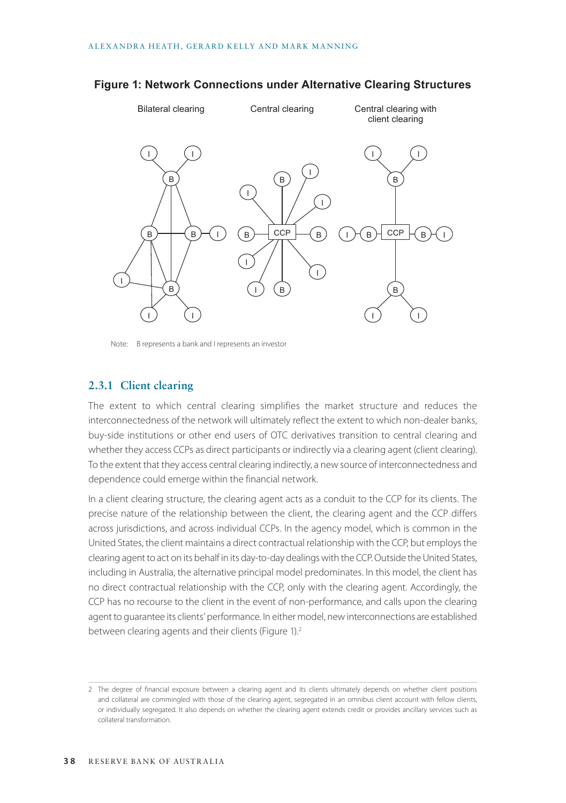#### I I I I I I  $_{\rm B}$  )  $\rightarrow$  CCP  $\rightarrow$  (  $_{\rm B}$ Bilateral clearing Central clearing Central Central clearing with client clearing I B B I I) (I I ı )-( в )-{ <sup>ССР</sup> |-( в )-( ı B B I) (I I) (I B B B <del>ノー| (</del> B <del>ノ (</del> I

#### **Figure 1: Network Connections under Alternative Clearing Structures**

Note: B represents a bank and I represents an investor

#### **2.3.1 Client clearing**

The extent to which central clearing simplifies the market structure and reduces the interconnectedness of the network will ultimately reflect the extent to which non-dealer banks, buy-side institutions or other end users of OTC derivatives transition to central clearing and whether they access CCPs as direct participants or indirectly via a clearing agent (client clearing). To the extent that they access central clearing indirectly, a new source of interconnectedness and dependence could emerge within the financial network.

In a client clearing structure, the clearing agent acts as a conduit to the CCP for its clients. The precise nature of the relationship between the client, the clearing agent and the CCP differs across jurisdictions, and across individual CCPs. In the agency model, which is common in the United States, the client maintains a direct contractual relationship with the CCP, but employs the clearing agent to act on its behalf in its day-to-day dealings with the CCP. Outside the United States, including in Australia, the alternative principal model predominates. In this model, the client has no direct contractual relationship with the CCP, only with the clearing agent. Accordingly, the CCP has no recourse to the client in the event of non-performance, and calls upon the clearing agent to guarantee its clients' performance. In either model, new interconnections are established between clearing agents and their clients (Figure 1).<sup>2</sup>

<sup>2</sup> The degree of financial exposure between a clearing agent and its clients ultimately depends on whether client positions and collateral are commingled with those of the clearing agent, segregated in an omnibus client account with fellow clients, or individually segregated. It also depends on whether the clearing agent extends credit or provides ancillary services such as collateral transformation.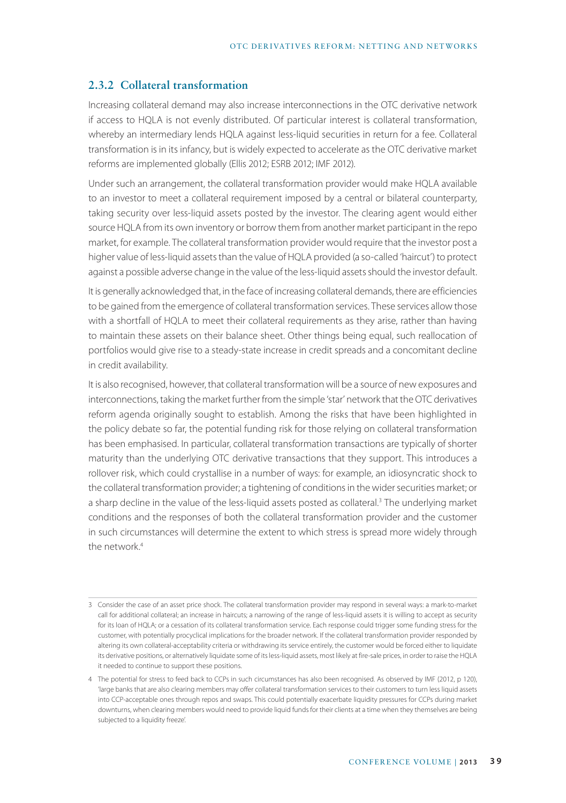### **2.3.2 Collateral transformation**

Increasing collateral demand may also increase interconnections in the OTC derivative network if access to HQLA is not evenly distributed. Of particular interest is collateral transformation, whereby an intermediary lends HQLA against less-liquid securities in return for a fee. Collateral transformation is in its infancy, but is widely expected to accelerate as the OTC derivative market reforms are implemented globally (Ellis 2012; ESRB 2012; IMF 2012).

Under such an arrangement, the collateral transformation provider would make HQLA available to an investor to meet a collateral requirement imposed by a central or bilateral counterparty, taking security over less-liquid assets posted by the investor. The clearing agent would either source HQLA from its own inventory or borrow them from another market participant in the repo market, for example. The collateral transformation provider would require that the investor post a higher value of less-liquid assets than the value of HQLA provided (a so-called 'haircut') to protect against a possible adverse change in the value of the less-liquid assets should the investor default.

It is generally acknowledged that, in the face of increasing collateral demands, there are efficiencies to be gained from the emergence of collateral transformation services. These services allow those with a shortfall of HQLA to meet their collateral requirements as they arise, rather than having to maintain these assets on their balance sheet. Other things being equal, such reallocation of portfolios would give rise to a steady-state increase in credit spreads and a concomitant decline in credit availability.

It is also recognised, however, that collateral transformation will be a source of new exposures and interconnections, taking the market further from the simple 'star' network that the OTC derivatives reform agenda originally sought to establish. Among the risks that have been highlighted in the policy debate so far, the potential funding risk for those relying on collateral transformation has been emphasised. In particular, collateral transformation transactions are typically of shorter maturity than the underlying OTC derivative transactions that they support. This introduces a rollover risk, which could crystallise in a number of ways: for example, an idiosyncratic shock to the collateral transformation provider; a tightening of conditions in the wider securities market; or a sharp decline in the value of the less-liquid assets posted as collateral.<sup>3</sup> The underlying market conditions and the responses of both the collateral transformation provider and the customer in such circumstances will determine the extent to which stress is spread more widely through the network.4

<sup>3</sup> Consider the case of an asset price shock. The collateral transformation provider may respond in several ways: a mark-to-market call for additional collateral; an increase in haircuts; a narrowing of the range of less-liquid assets it is willing to accept as security for its loan of HQLA; or a cessation of its collateral transformation service. Each response could trigger some funding stress for the customer, with potentially procyclical implications for the broader network. If the collateral transformation provider responded by altering its own collateral-acceptability criteria or withdrawing its service entirely, the customer would be forced either to liquidate its derivative positions, or alternatively liquidate some of its less-liquid assets, most likely at fire-sale prices, in order to raise the HQLA it needed to continue to support these positions.

<sup>4</sup> The potential for stress to feed back to CCPs in such circumstances has also been recognised. As observed by IMF (2012, p 120), 'large banks that are also clearing members may offer collateral transformation services to their customers to turn less liquid assets into CCP-acceptable ones through repos and swaps. This could potentially exacerbate liquidity pressures for CCPs during market downturns, when clearing members would need to provide liquid funds for their clients at a time when they themselves are being subjected to a liquidity freeze'.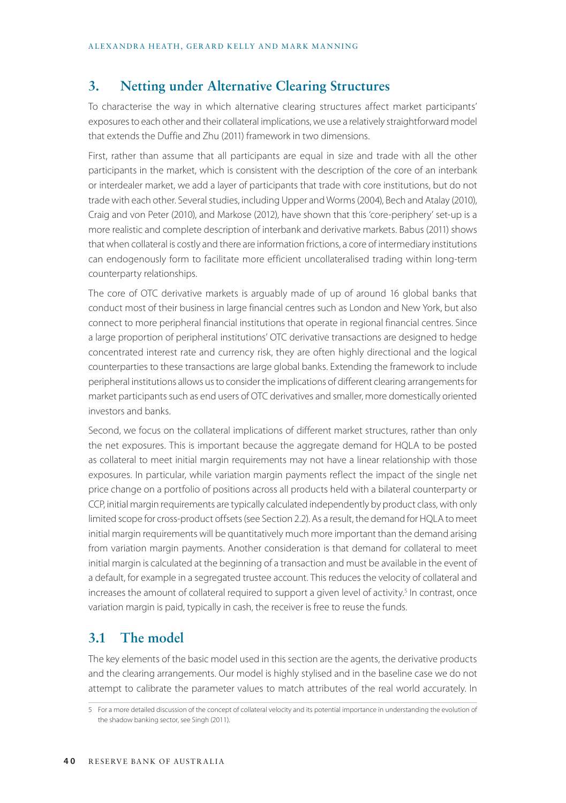# **3. Netting under Alternative Clearing Structures**

To characterise the way in which alternative clearing structures affect market participants' exposures to each other and their collateral implications, we use a relatively straightforward model that extends the Duffie and Zhu (2011) framework in two dimensions.

First, rather than assume that all participants are equal in size and trade with all the other participants in the market, which is consistent with the description of the core of an interbank or interdealer market, we add a layer of participants that trade with core institutions, but do not trade with each other. Several studies, including Upper and Worms (2004), Bech and Atalay (2010), Craig and von Peter (2010), and Markose (2012), have shown that this 'core-periphery' set-up is a more realistic and complete description of interbank and derivative markets. Babus (2011) shows that when collateral is costly and there are information frictions, a core of intermediary institutions can endogenously form to facilitate more efficient uncollateralised trading within long-term counterparty relationships.

The core of OTC derivative markets is arguably made of up of around 16 global banks that conduct most of their business in large financial centres such as London and New York, but also connect to more peripheral financial institutions that operate in regional financial centres. Since a large proportion of peripheral institutions' OTC derivative transactions are designed to hedge concentrated interest rate and currency risk, they are often highly directional and the logical counterparties to these transactions are large global banks. Extending the framework to include peripheral institutions allows us to consider the implications of different clearing arrangements for market participants such as end users of OTC derivatives and smaller, more domestically oriented investors and banks.

Second, we focus on the collateral implications of different market structures, rather than only the net exposures. This is important because the aggregate demand for HQLA to be posted as collateral to meet initial margin requirements may not have a linear relationship with those exposures. In particular, while variation margin payments reflect the impact of the single net price change on a portfolio of positions across all products held with a bilateral counterparty or CCP, initial margin requirements are typically calculated independently by product class, with only limited scope for cross-product offsets (see Section 2.2). As a result, the demand for HQLA to meet initial margin requirements will be quantitatively much more important than the demand arising from variation margin payments. Another consideration is that demand for collateral to meet initial margin is calculated at the beginning of a transaction and must be available in the event of a default, for example in a segregated trustee account. This reduces the velocity of collateral and increases the amount of collateral required to support a given level of activity.<sup>5</sup> In contrast, once variation margin is paid, typically in cash, the receiver is free to reuse the funds.

# **3.1 The model**

The key elements of the basic model used in this section are the agents, the derivative products and the clearing arrangements. Our model is highly stylised and in the baseline case we do not attempt to calibrate the parameter values to match attributes of the real world accurately. In

<sup>5</sup> For a more detailed discussion of the concept of collateral velocity and its potential importance in understanding the evolution of the shadow banking sector, see Singh (2011).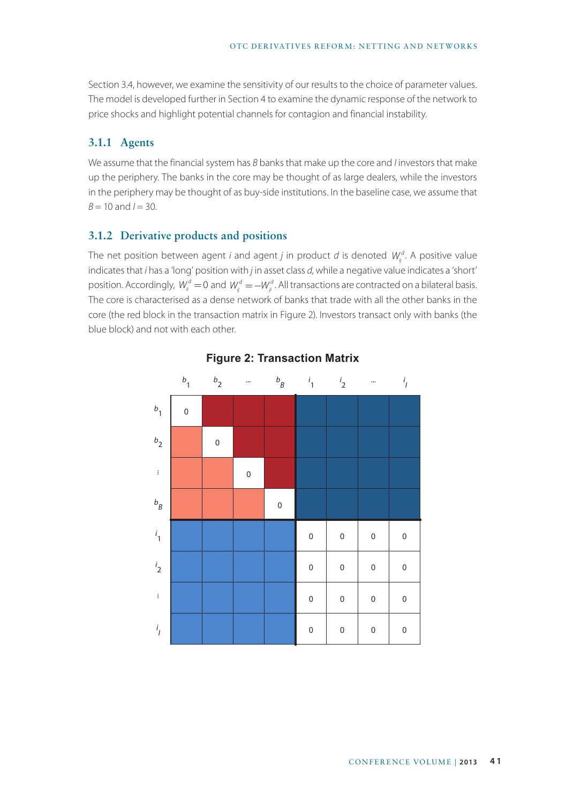Section 3.4, however, we examine the sensitivity of our results to the choice of parameter values. The model is developed further in Section 4 to examine the dynamic response of the network to price shocks and highlight potential channels for contagion and financial instability.

### **3.1.1 Agents**

We assume that the financial system has *B* banks that make up the core and *I* investors that make up the periphery. The banks in the core may be thought of as large dealers, while the investors in the periphery may be thought of as buy-side institutions. In the baseline case, we assume that  $B = 10$  and  $I = 30$ .

### **3.1.2 Derivative products and positions**

The net position between agent *i* and agent *j* in product *d* is denoted  $W_{ij}^d$ . A positive value indicates that *i* has a 'long' position with *j* in asset class *d*, while a negative value indicates a 'short' position. Accordingly,  $W_{ii}^d = 0$  and  $W_{ij}^d = -W_{ji}^d$ . All transactions are contracted on a bilateral basis. The core is characterised as a dense network of banks that trade with all the other banks in the core (the red block in the transaction matrix in Figure 2). Investors transact only with banks (the blue block) and not with each other.



### **Figure 2: Transaction Matrix**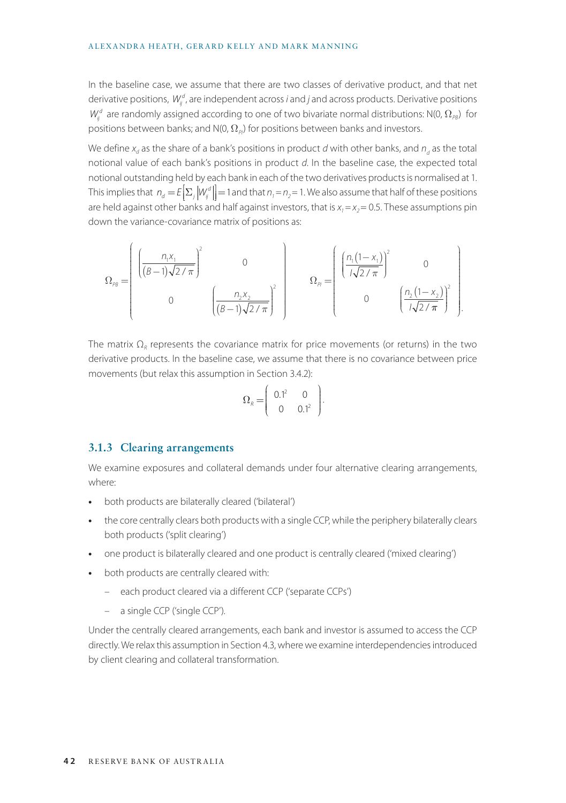#### ALEXANDRA HEATH, GERARD KELLY AND MARK MANNING

In the baseline case, we assume that there are two classes of derivative product, and that net derivative positions,  $W_{ij}^d$ , are independent across *i* and *j* and across products. Derivative positions  $W_{ij}^d$  are randomly assigned according to one of two bivariate normal distributions: N(0,  $\Omega_{\scriptscriptstyle P8}$ ) for positions between banks; and N(0,  $\Omega_{\rho}$ ) for positions between banks and investors.

We define  $x_d$  as the share of a bank's positions in product  $d$  with other banks, and  $n_{\overline{d}}$  as the total notional value of each bank's positions in product *d*. In the baseline case, the expected total notional outstanding held by each bank in each of the two derivatives products is normalised at 1. This implies that  $n_d = E\Big[\sum_j |W_j^d|\Big] = 1$  and that  $n_1 = n_2 = 1$ . We also assume that half of these positions Į are held against other banks and half against investors, that is  $x_1 = x_2 = 0.5$ . These assumptions pin down the variance-covariance matrix of positions as:

$$
\Omega_{pg} = \begin{bmatrix} \left( \frac{n_1 x_1}{(\beta - 1)\sqrt{2/\pi}} \right)^2 & 0 \\ 0 & \left( \frac{n_2 x_2}{(\beta - 1)\sqrt{2/\pi}} \right)^2 \\ 0 & \left( \frac{n_3 x_2}{(\beta - 1)\sqrt{2/\pi}} \right)^2 \end{bmatrix} \qquad \Omega_{pg} = \begin{bmatrix} \left( \frac{n_1 (1 - x_1)}{1\sqrt{2/\pi}} \right)^2 & 0 \\ 0 & \left( \frac{n_2 (1 - x_2)}{1\sqrt{2/\pi}} \right)^2 \\ 0 & \left( \frac{n_2 (1 - x_2)}{1\sqrt{2/\pi}} \right)^2 \end{bmatrix}.
$$

The matrix  $\Omega_R$  represents the covariance matrix for price movements (or returns) in the two derivative products. In the baseline case, we assume that there is no covariance between price movements (but relax this assumption in Section 3.4.2):

$$
\Omega_R = \left(\begin{array}{cc} 0.1^2 & 0 \\ 0 & 0.1^2 \end{array}\right).
$$

#### **3.1.3 Clearing arrangements**

We examine exposures and collateral demands under four alternative clearing arrangements, where:

- **•** both products are bilaterally cleared ('bilateral')
- the core centrally clears both products with a single CCP, while the periphery bilaterally clears both products ('split clearing')
- one product is bilaterally cleared and one product is centrally cleared ('mixed clearing')
- **•** both products are centrally cleared with:
	- each product cleared via a different CCP ('separate CCPs')
	- a single CCP ('single CCP').

Under the centrally cleared arrangements, each bank and investor is assumed to access the CCP directly. We relax this assumption in Section 4.3, where we examine interdependencies introduced by client clearing and collateral transformation.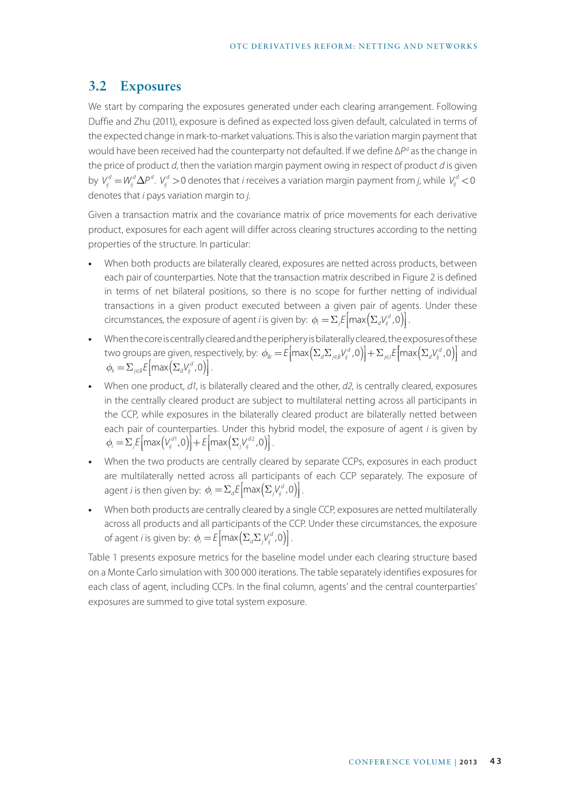### **3.2 Exposures**

We start by comparing the exposures generated under each clearing arrangement. Following Duffie and Zhu (2011), exposure is defined as expected loss given default, calculated in terms of the expected change in mark-to-market valuations. This is also the variation margin payment that would have been received had the counterparty not defaulted. If we define ∆*Pd* as the change in the price of product *d*, then the variation margin payment owing in respect of product *d* is given by  $V_{ij}^d = W_{ij}^d \Delta P^d$ .  $V_{ij}^d > 0$  denotes that *i* receives a variation margin payment from *j*, while  $V_{ij}^d < 0$ denotes that *i* pays variation margin to *j*.

Given a transaction matrix and the covariance matrix of price movements for each derivative product, exposures for each agent will differ across clearing structures according to the netting properties of the structure. In particular:

- **•** When both products are bilaterally cleared, exposures are netted across products, between each pair of counterparties. Note that the transaction matrix described in Figure 2 is defined in terms of net bilateral positions, so there is no scope for further netting of individual transactions in a given product executed between a given pair of agents. Under these circumstances, the exposure of agent *i* is given by:  $\phi_i = \sum_j E \left[ max \left( \sum_d V^d_{ij}, 0 \right) \right]$ . Į
- **•** When the core is centrally cleared and the periphery is bilaterally cleared, the exposures of these two groups are given, respectively, by:  $\phi_{\scriptscriptstyle \mathcal{B}i} = \mathcal{E} \big[ \text{max} \big( \Sigma_d \Sigma_{j \in \mathcal{B}} V_{ij}^d, 0 \big) \big] + \Sigma_{j \in \mathcal{I}} \mathcal{E} \big[ \text{max} \big( \Sigma_d V_{ij}^d, 0 \big) \big]$  and l Į  $\overline{\phantom{a}}$  $\phi_{ij} = \sum_{j \in B} E \left[ \max \left( \sum_{d} V_{ij}^{d}, 0 \right) \right].$ Į
- **•** When one product, *d1*, is bilaterally cleared and the other, *d2*, is centrally cleared, exposures in the centrally cleared product are subject to multilateral netting across all participants in the CCP, while exposures in the bilaterally cleared product are bilaterally netted between each pair of counterparties. Under this hybrid model, the exposure of agent *i* is given by  $\phi_i = \sum_j E \left[ \max \left( V_j^{d_1}, 0 \right) \right] + E \left[ \max \left( \sum_j V_j^{d_2}, 0 \right) \right].$ Į  $\mathbf{r}$ Į
- **•** When the two products are centrally cleared by separate CCPs, exposures in each product are multilaterally netted across all participants of each CCP separately. The exposure of agent *i* is then given by:  $\phi_i = \sum_d E \left[ max \left( \sum_j V_{ij}^d, 0 \right) \right]$ . Į
- **•** When both products are centrally cleared by a single CCP, exposures are netted multilaterally across all products and all participants of the CCP. Under these circumstances, the exposure of agent *i* is given by:  $\phi_i = E \left[ \max \left( \sum_a \sum_j V_{ij}^a, 0 \right) \right]$ . Į

Table 1 presents exposure metrics for the baseline model under each clearing structure based on a Monte Carlo simulation with 300 000 iterations. The table separately identifies exposures for each class of agent, including CCPs. In the final column, agents' and the central counterparties' exposures are summed to give total system exposure.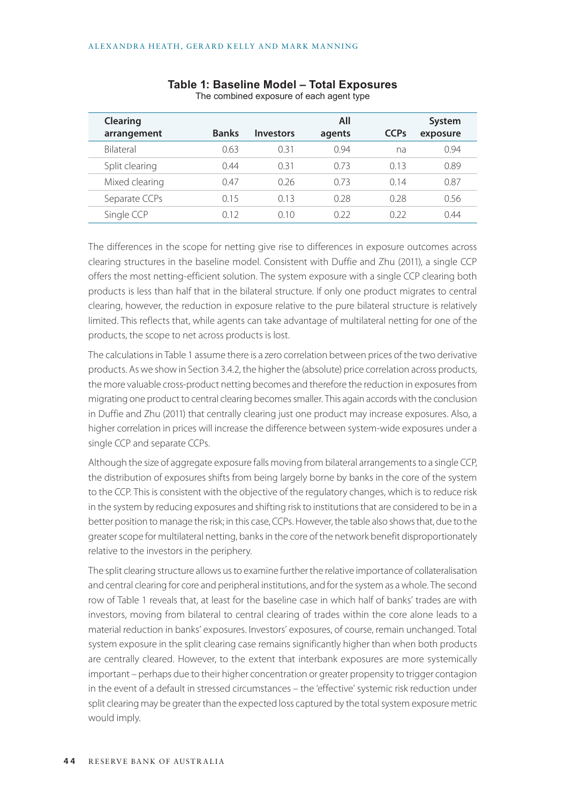| Clearing       |              |                  | All    |                        | System   |
|----------------|--------------|------------------|--------|------------------------|----------|
| arrangement    | <b>Banks</b> | <b>Investors</b> | agents | <b>CCP<sub>s</sub></b> | exposure |
| Bilateral      | 0.63         | 0.31             | 0.94   | na                     | 0.94     |
| Split clearing | 0.44         | 0.31             | 0.73   | 0.13                   | 0.89     |
| Mixed clearing | 047          | 0.26             | 0.73   | 014                    | 0.87     |
| Separate CCPs  | 0.15         | 0.13             | 0.28   | 0.28                   | 0.56     |
| Single CCP     | ი 12         | 010              | N 22   | 0.22                   | 0.44     |

#### **Table 1: Baseline Model – Total Exposures** The combined exposure of each agent type

The differences in the scope for netting give rise to differences in exposure outcomes across clearing structures in the baseline model. Consistent with Duffie and Zhu (2011), a single CCP offers the most netting-efficient solution. The system exposure with a single CCP clearing both products is less than half that in the bilateral structure. If only one product migrates to central clearing, however, the reduction in exposure relative to the pure bilateral structure is relatively limited. This reflects that, while agents can take advantage of multilateral netting for one of the products, the scope to net across products is lost.

The calculations in Table 1 assume there is a zero correlation between prices of the two derivative products. As we show in Section 3.4.2, the higher the (absolute) price correlation across products, the more valuable cross-product netting becomes and therefore the reduction in exposures from migrating one product to central clearing becomes smaller. This again accords with the conclusion in Duffie and Zhu (2011) that centrally clearing just one product may increase exposures. Also, a higher correlation in prices will increase the difference between system-wide exposures under a single CCP and separate CCPs.

Although the size of aggregate exposure falls moving from bilateral arrangements to a single CCP, the distribution of exposures shifts from being largely borne by banks in the core of the system to the CCP. This is consistent with the objective of the regulatory changes, which is to reduce risk in the system by reducing exposures and shifting risk to institutions that are considered to be in a better position to manage the risk; in this case, CCPs. However, the table also shows that, due to the greater scope for multilateral netting, banks in the core of the network benefit disproportionately relative to the investors in the periphery.

The split clearing structure allows us to examine further the relative importance of collateralisation and central clearing for core and peripheral institutions, and for the system as a whole. The second row of Table 1 reveals that, at least for the baseline case in which half of banks' trades are with investors, moving from bilateral to central clearing of trades within the core alone leads to a material reduction in banks' exposures. Investors' exposures, of course, remain unchanged. Total system exposure in the split clearing case remains significantly higher than when both products are centrally cleared. However, to the extent that interbank exposures are more systemically important – perhaps due to their higher concentration or greater propensity to trigger contagion in the event of a default in stressed circumstances – the 'effective' systemic risk reduction under split clearing may be greater than the expected loss captured by the total system exposure metric would imply.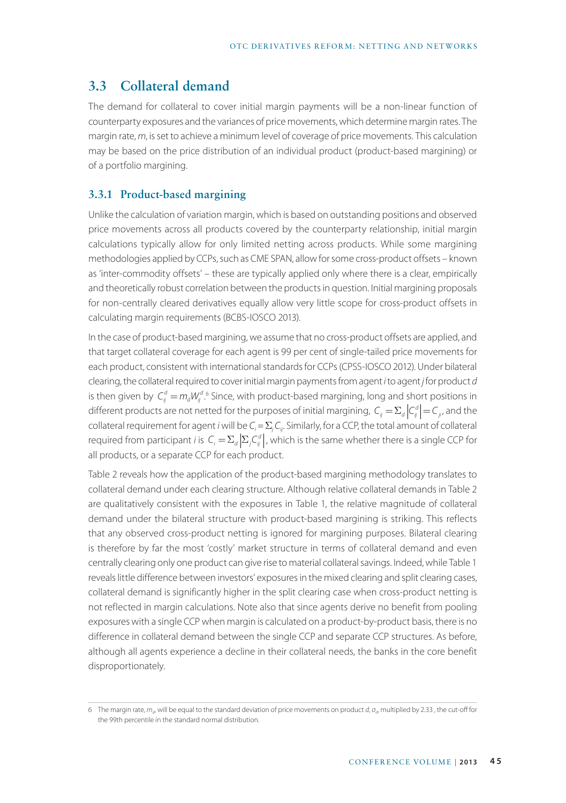# **3.3 Collateral demand**

The demand for collateral to cover initial margin payments will be a non-linear function of counterparty exposures and the variances of price movements, which determine margin rates. The margin rate, *m*, is set to achieve a minimum level of coverage of price movements. This calculation may be based on the price distribution of an individual product (product-based margining) or of a portfolio margining.

### **3.3.1 Product-based margining**

Unlike the calculation of variation margin, which is based on outstanding positions and observed price movements across all products covered by the counterparty relationship, initial margin calculations typically allow for only limited netting across products. While some margining methodologies applied by CCPs, such as CME SPAN, allow for some cross-product offsets – known as 'inter-commodity offsets' – these are typically applied only where there is a clear, empirically and theoretically robust correlation between the products in question. Initial margining proposals for non-centrally cleared derivatives equally allow very little scope for cross-product offsets in calculating margin requirements (BCBS-IOSCO 2013).

In the case of product-based margining, we assume that no cross-product offsets are applied, and that target collateral coverage for each agent is 99 per cent of single-tailed price movements for each product, consistent with international standards for CCPs (CPSS-IOSCO 2012). Under bilateral clearing, the collateral required to cover initial margin payments from agent *i* to agent *j* for product *d* is then given by  $C_{ij}^d = m_d W_{ij}^{d.6}$  Since, with product-based margining, long and short positions in different products are not netted for the purposes of initial margining,  $C_{ii} = \sum_{d} |C_{ii}^d| = C_{ii}$ , and the collateral requirement for agent *i* will be  $C_i = \sum_j C_{ij}$ . Similarly, for a CCP, the total amount of collateral required from participant *i* is  $C_i = \sum_d \left| \sum_j C_{ij}^d \right|$ , which is the same whether there is a single CCP for all products, or a separate CCP for each product.

Table 2 reveals how the application of the product-based margining methodology translates to collateral demand under each clearing structure. Although relative collateral demands in Table 2 are qualitatively consistent with the exposures in Table 1, the relative magnitude of collateral demand under the bilateral structure with product-based margining is striking. This reflects that any observed cross-product netting is ignored for margining purposes. Bilateral clearing is therefore by far the most 'costly' market structure in terms of collateral demand and even centrally clearing only one product can give rise to material collateral savings. Indeed, while Table 1 reveals little difference between investors' exposures in the mixed clearing and split clearing cases, collateral demand is significantly higher in the split clearing case when cross-product netting is not reflected in margin calculations. Note also that since agents derive no benefit from pooling exposures with a single CCP when margin is calculated on a product-by-product basis, there is no difference in collateral demand between the single CCP and separate CCP structures. As before, although all agents experience a decline in their collateral needs, the banks in the core benefit disproportionately.

<sup>6</sup> The margin rate, *md*, will be equal to the standard deviation of price movements on product *d*, *σd*, multiplied by 2.33 , the cut-off for the 99th percentile in the standard normal distribution.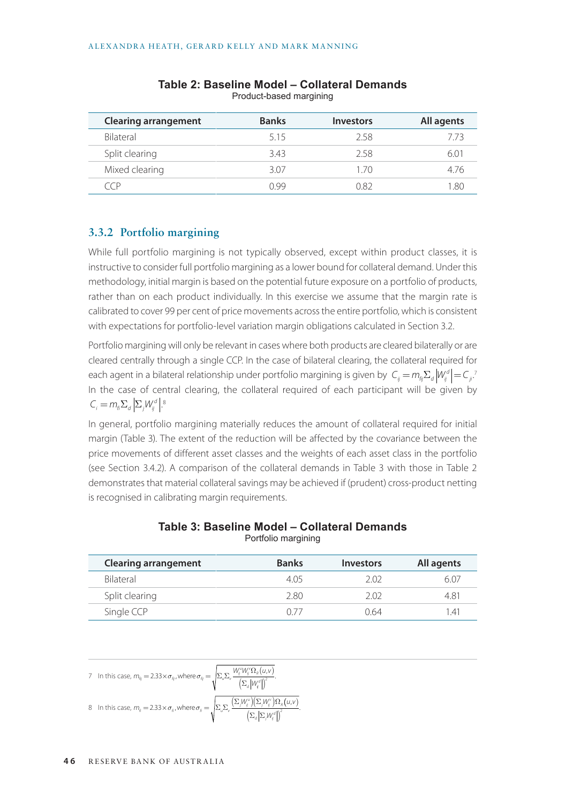| <b>Clearing arrangement</b> | <b>Banks</b> | <b>Investors</b> | All agents |
|-----------------------------|--------------|------------------|------------|
| Bilateral                   | 515          | 2.58             | 7 73       |
| Split clearing              | 3.43         | 2.58             | 60         |
| Mixed clearing              | 307          | 1 70             | 476        |
|                             | N 99         | N 82             |            |

|  |                         | Table 2: Baseline Model - Collateral Demands |  |
|--|-------------------------|----------------------------------------------|--|
|  | Product-based margining |                                              |  |

### **3.3.2 Portfolio margining**

While full portfolio margining is not typically observed, except within product classes, it is instructive to consider full portfolio margining as a lower bound for collateral demand. Under this methodology, initial margin is based on the potential future exposure on a portfolio of products, rather than on each product individually. In this exercise we assume that the margin rate is calibrated to cover 99 per cent of price movements across the entire portfolio, which is consistent with expectations for portfolio-level variation margin obligations calculated in Section 3.2.

Portfolio margining will only be relevant in cases where both products are cleared bilaterally or are cleared centrally through a single CCP. In the case of bilateral clearing, the collateral required for each agent in a bilateral relationship under portfolio margining is given by  $\ C_{_{ij}}\!=\!m_{_{\!f\!j}}\!\Sigma_{_d}\big|W_{_{\!j}}^d\big|\!=\!C_{_{j^\iota}}\!$ In the case of central clearing, the collateral required of each participant will be given by  $C_i = m_{\scriptscriptstyle{\hat{n}}} \Sigma_d \left| \Sigma_j W_j^d \right|.^8$ 

In general, portfolio margining materially reduces the amount of collateral required for initial margin (Table 3). The extent of the reduction will be affected by the covariance between the price movements of different asset classes and the weights of each asset class in the portfolio (see Section 3.4.2). A comparison of the collateral demands in Table 3 with those in Table 2 demonstrates that material collateral savings may be achieved if (prudent) cross-product netting is recognised in calibrating margin requirements.

| <b>Clearing arrangement</b> | <b>Banks</b> | <b>Investors</b> | All agents |
|-----------------------------|--------------|------------------|------------|
| Bilateral                   | 405          | 2 02             | 60,        |
| Split clearing              | 2.80         | 2 02             | 4.81       |
| Single CCP                  | N 77         | 0.64             | 141        |

#### **Table 3: Baseline Model – Collateral Demands** Portfolio margining

7 In this case, 
$$
m_{ij} = 2.33 \times \sigma_{ij}
$$
, where  $\sigma_{ij} = \sqrt{\sum_{\nu} \sum_{\nu} \frac{W_{ij}^{\nu} W_{ij}^{\nu} \Omega_{\kappa} (u, v)}{\left(\sum_{\nu} |W_{i}^{\nu}|\right)^2}}$ .  
8 In this case,  $m_{ij} = 2.33 \times \sigma_{ij}$ , where  $\sigma_{ij} = \sqrt{\sum_{\nu} \sum_{\nu} \frac{\left(\sum_{j} W_{ij}^{\nu}\right) \left(\sum_{j} W_{ij}^{\nu}\right) \Omega_{\kappa} (u, v)}{\left(\sum_{\nu} | \Sigma_{j} W_{ij}^{\nu}|\right)^2}}$ .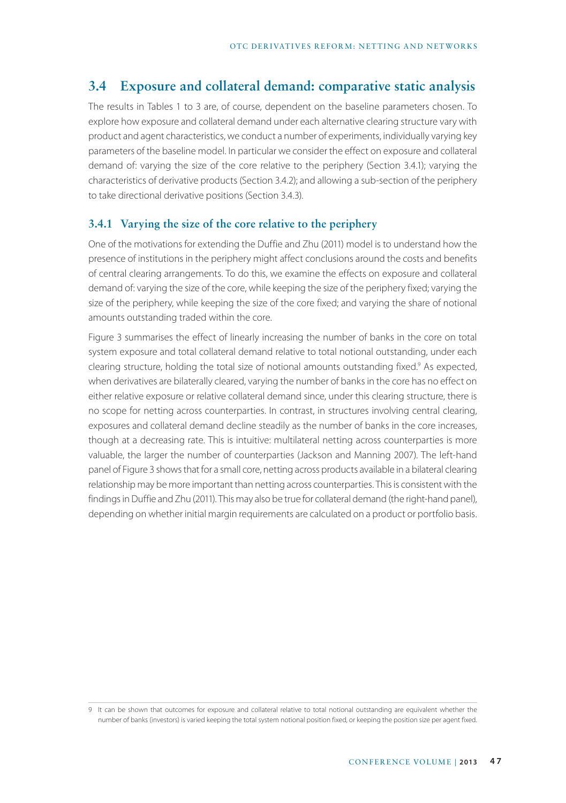# **3.4 Exposure and collateral demand: comparative static analysis**

The results in Tables 1 to 3 are, of course, dependent on the baseline parameters chosen. To explore how exposure and collateral demand under each alternative clearing structure vary with product and agent characteristics, we conduct a number of experiments, individually varying key parameters of the baseline model. In particular we consider the effect on exposure and collateral demand of: varying the size of the core relative to the periphery (Section 3.4.1); varying the characteristics of derivative products (Section 3.4.2); and allowing a sub-section of the periphery to take directional derivative positions (Section 3.4.3).

#### **3.4.1 Varying the size of the core relative to the periphery**

One of the motivations for extending the Duffie and Zhu (2011) model is to understand how the presence of institutions in the periphery might affect conclusions around the costs and benefits of central clearing arrangements. To do this, we examine the effects on exposure and collateral demand of: varying the size of the core, while keeping the size of the periphery fixed; varying the size of the periphery, while keeping the size of the core fixed; and varying the share of notional amounts outstanding traded within the core.

Figure 3 summarises the effect of linearly increasing the number of banks in the core on total system exposure and total collateral demand relative to total notional outstanding, under each clearing structure, holding the total size of notional amounts outstanding fixed.<sup>9</sup> As expected, when derivatives are bilaterally cleared, varying the number of banks in the core has no effect on either relative exposure or relative collateral demand since, under this clearing structure, there is no scope for netting across counterparties. In contrast, in structures involving central clearing, exposures and collateral demand decline steadily as the number of banks in the core increases, though at a decreasing rate. This is intuitive: multilateral netting across counterparties is more valuable, the larger the number of counterparties (Jackson and Manning 2007). The left-hand panel of Figure 3 shows that for a small core, netting across products available in a bilateral clearing relationship may be more important than netting across counterparties. This is consistent with the findings in Duffie and Zhu (2011). This may also be true for collateral demand (the right-hand panel), depending on whether initial margin requirements are calculated on a product or portfolio basis.

<sup>9</sup> It can be shown that outcomes for exposure and collateral relative to total notional outstanding are equivalent whether the number of banks (investors) is varied keeping the total system notional position fixed, or keeping the position size per agent fixed.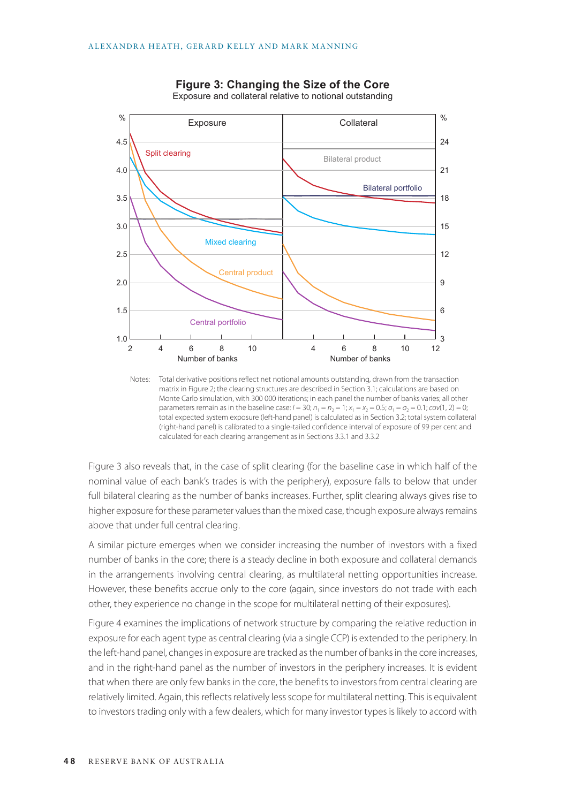

**Figure 3: Changing the Size of the Core** Exposure and collateral relative to notional outstanding

Notes: Total derivative positions reflect net notional amounts outstanding, drawn from the transaction matrix in Figure 2; the clearing structures are described in Section 3.1; calculations are based on Monte Carlo simulation, with 300 000 iterations; in each panel the number of banks varies; all other parameters remain as in the baseline case:  $I = 30$ ;  $n_1 = n_2 = 1$ ;  $x_1 = x_2 = 0.5$ ;  $\sigma_1 = \sigma_2 = 0.1$ ;  $cov(1, 2) = 0$ ; total expected system exposure (left-hand panel) is calculated as in Section 3.2; total system collateral (right-hand panel) is calibrated to a single-tailed confidence interval of exposure of 99 per cent and calculated for each clearing arrangement as in Sections 3.3.1 and 3.3.2

Figure 3 also reveals that, in the case of split clearing (for the baseline case in which half of the nominal value of each bank's trades is with the periphery), exposure falls to below that under full bilateral clearing as the number of banks increases. Further, split clearing always gives rise to higher exposure for these parameter values than the mixed case, though exposure always remains above that under full central clearing.

A similar picture emerges when we consider increasing the number of investors with a fixed number of banks in the core; there is a steady decline in both exposure and collateral demands in the arrangements involving central clearing, as multilateral netting opportunities increase. However, these benefits accrue only to the core (again, since investors do not trade with each other, they experience no change in the scope for multilateral netting of their exposures).

Figure 4 examines the implications of network structure by comparing the relative reduction in exposure for each agent type as central clearing (via a single CCP) is extended to the periphery. In the left-hand panel, changes in exposure are tracked as the number of banks in the core increases, and in the right-hand panel as the number of investors in the periphery increases. It is evident that when there are only few banks in the core, the benefits to investors from central clearing are relatively limited. Again, this reflects relatively less scope for multilateral netting. This is equivalent to investors trading only with a few dealers, which for many investor types is likely to accord with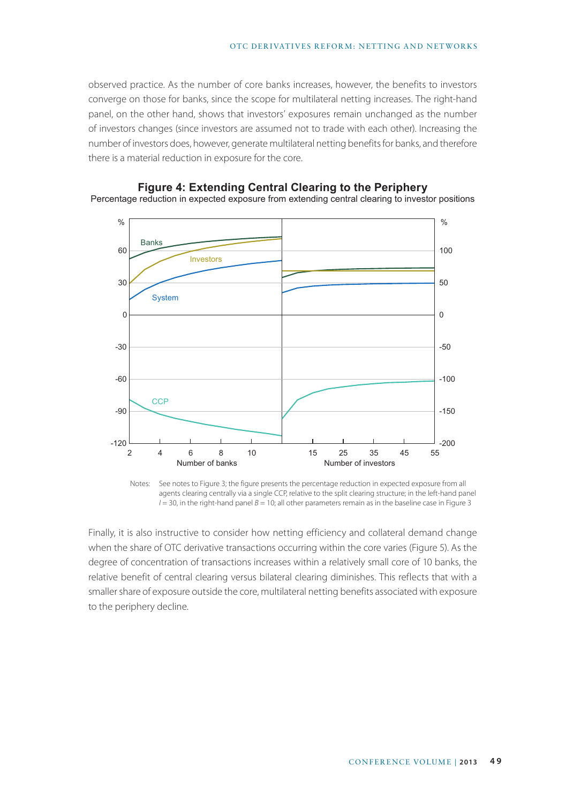observed practice. As the number of core banks increases, however, the benefits to investors converge on those for banks, since the scope for multilateral netting increases. The right-hand panel, on the other hand, shows that investors' exposures remain unchanged as the number of investors changes (since investors are assumed not to trade with each other). Increasing the number of investors does, however, generate multilateral netting benefits for banks, and therefore there is a material reduction in exposure for the core.



**Figure 4: Extending Central Clearing to the Periphery**

Percentage reduction in expected exposure from extending central clearing to investor positions

Notes: See notes to Figure 3; the figure presents the percentage reduction in expected exposure from all agents clearing centrally via a single CCP, relative to the split clearing structure; in the left-hand panel  $I = 30$ , in the right-hand panel  $B = 10$ ; all other parameters remain as in the baseline case in Figure 3

Finally, it is also instructive to consider how netting efficiency and collateral demand change when the share of OTC derivative transactions occurring within the core varies (Figure 5). As the degree of concentration of transactions increases within a relatively small core of 10 banks, the relative benefit of central clearing versus bilateral clearing diminishes. This reflects that with a smaller share of exposure outside the core, multilateral netting benefits associated with exposure to the periphery decline.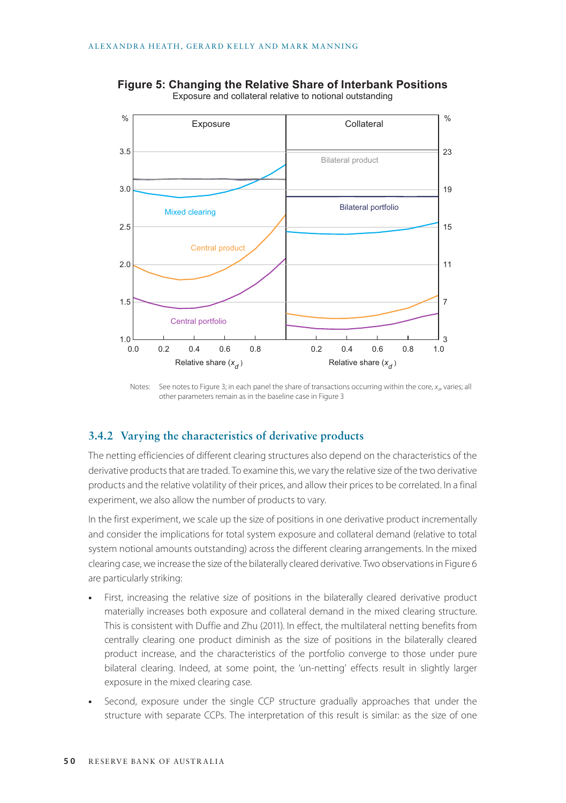

**Figure 5: Changing the Relative Share of Interbank Positions** Exposure and collateral relative to notional outstanding

#### **3.4.2 Varying the characteristics of derivative products**

The netting efficiencies of different clearing structures also depend on the characteristics of the derivative products that are traded. To examine this, we vary the relative size of the two derivative products and the relative volatility of their prices, and allow their prices to be correlated. In a final experiment, we also allow the number of products to vary.

In the first experiment, we scale up the size of positions in one derivative product incrementally and consider the implications for total system exposure and collateral demand (relative to total system notional amounts outstanding) across the different clearing arrangements. In the mixed clearing case, we increase the size of the bilaterally cleared derivative. Two observations in Figure 6 are particularly striking:

- **•** First, increasing the relative size of positions in the bilaterally cleared derivative product materially increases both exposure and collateral demand in the mixed clearing structure. This is consistent with Duffie and Zhu (2011). In effect, the multilateral netting benefits from centrally clearing one product diminish as the size of positions in the bilaterally cleared product increase, and the characteristics of the portfolio converge to those under pure bilateral clearing. Indeed, at some point, the 'un-netting' effects result in slightly larger exposure in the mixed clearing case.
- **•** Second, exposure under the single CCP structure gradually approaches that under the structure with separate CCPs. The interpretation of this result is similar: as the size of one

Notes: See notes to Figure 3; in each panel the share of transactions occurring within the core, *x<sub>d</sub>*, varies; all other parameters remain as in the baseline case in Figure 3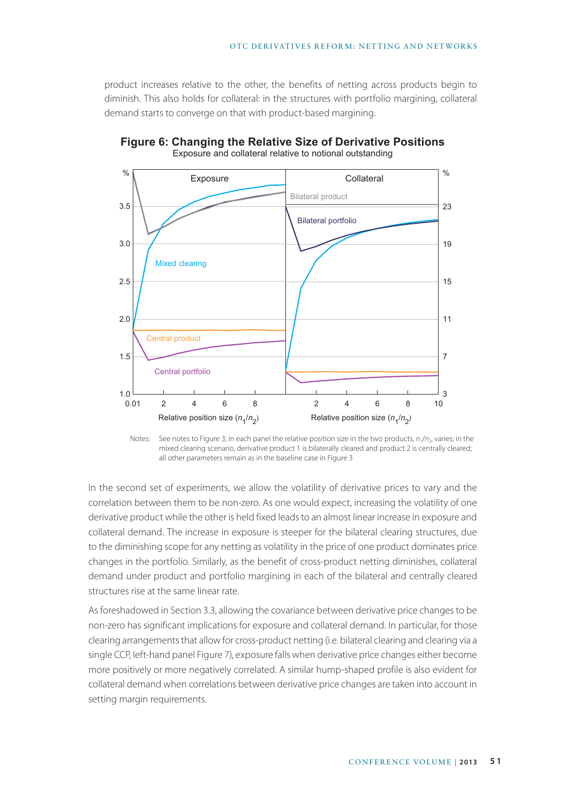product increases relative to the other, the benefits of netting across products begin to diminish. This also holds for collateral: in the structures with portfolio margining, collateral demand starts to converge on that with product-based margining.



**Figure 6: Changing the Relative Size of Derivative Positions** Exposure and collateral relative to notional outstanding



In the second set of experiments, we allow the volatility of derivative prices to vary and the correlation between them to be non-zero. As one would expect, increasing the volatility of one derivative product while the other is held fixed leads to an almost linear increase in exposure and collateral demand. The increase in exposure is steeper for the bilateral clearing structures, due to the diminishing scope for any netting as volatility in the price of one product dominates price changes in the portfolio. Similarly, as the benefit of cross-product netting diminishes, collateral demand under product and portfolio margining in each of the bilateral and centrally cleared structures rise at the same linear rate.

As foreshadowed in Section 3.3, allowing the covariance between derivative price changes to be non-zero has significant implications for exposure and collateral demand. In particular, for those clearing arrangements that allow for cross-product netting (i.e. bilateral clearing and clearing via a single CCP, left-hand panel Figure 7), exposure falls when derivative price changes either become more positively or more negatively correlated. A similar hump-shaped profile is also evident for collateral demand when correlations between derivative price changes are taken into account in setting margin requirements.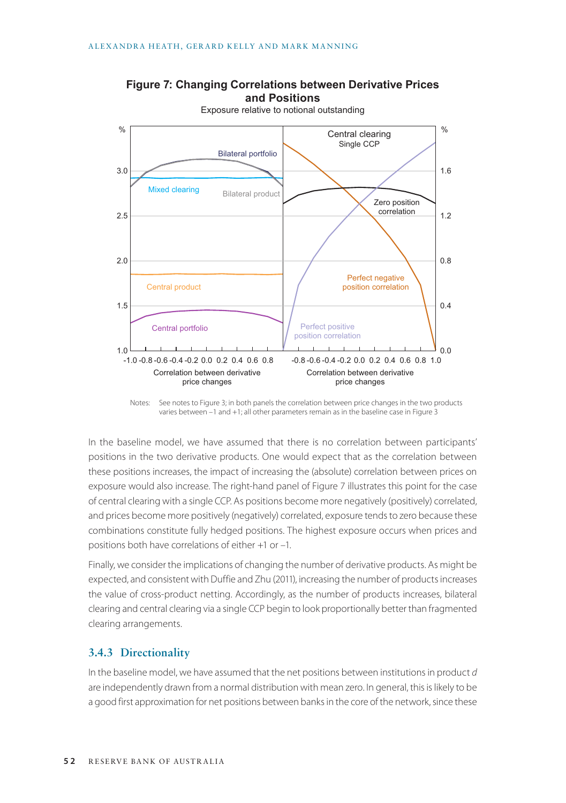

### **Figure 7: Changing Correlations between Derivative Prices and Positions**

Notes: See notes to Figure 3; in both panels the correlation between price changes in the two products varies between –1 and +1; all other parameters remain as in the baseline case in Figure 3

In the baseline model, we have assumed that there is no correlation between participants' positions in the two derivative products. One would expect that as the correlation between these positions increases, the impact of increasing the (absolute) correlation between prices on exposure would also increase. The right-hand panel of Figure 7 illustrates this point for the case of central clearing with a single CCP. As positions become more negatively (positively) correlated, and prices become more positively (negatively) correlated, exposure tends to zero because these combinations constitute fully hedged positions. The highest exposure occurs when prices and positions both have correlations of either +1 or –1.

Finally, we consider the implications of changing the number of derivative products. As might be expected, and consistent with Duffie and Zhu (2011), increasing the number of products increases the value of cross-product netting. Accordingly, as the number of products increases, bilateral clearing and central clearing via a single CCP begin to look proportionally better than fragmented clearing arrangements.

### **3.4.3 Directionality**

In the baseline model, we have assumed that the net positions between institutions in product *d* are independently drawn from a normal distribution with mean zero. In general, this is likely to be a good first approximation for net positions between banks in the core of the network, since these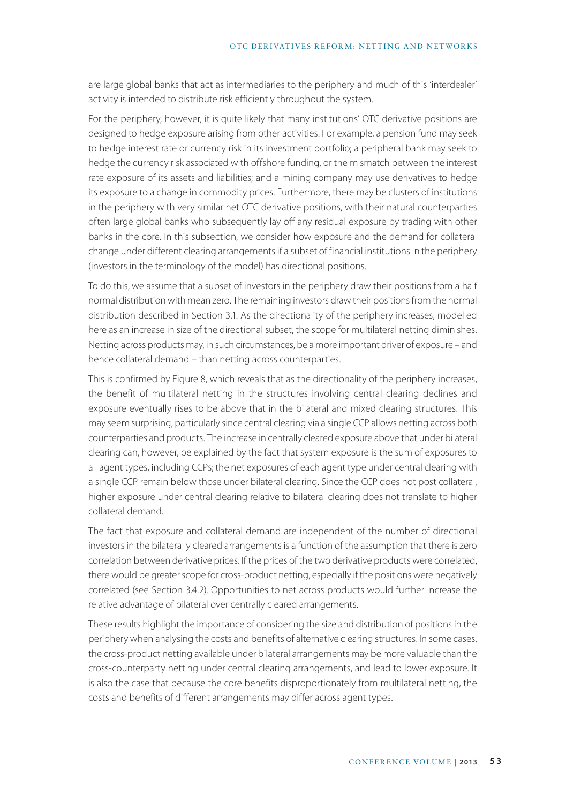are large global banks that act as intermediaries to the periphery and much of this 'interdealer' activity is intended to distribute risk efficiently throughout the system.

For the periphery, however, it is quite likely that many institutions' OTC derivative positions are designed to hedge exposure arising from other activities. For example, a pension fund may seek to hedge interest rate or currency risk in its investment portfolio; a peripheral bank may seek to hedge the currency risk associated with offshore funding, or the mismatch between the interest rate exposure of its assets and liabilities; and a mining company may use derivatives to hedge its exposure to a change in commodity prices. Furthermore, there may be clusters of institutions in the periphery with very similar net OTC derivative positions, with their natural counterparties often large global banks who subsequently lay off any residual exposure by trading with other banks in the core. In this subsection, we consider how exposure and the demand for collateral change under different clearing arrangements if a subset of financial institutions in the periphery (investors in the terminology of the model) has directional positions.

To do this, we assume that a subset of investors in the periphery draw their positions from a half normal distribution with mean zero. The remaining investors draw their positions from the normal distribution described in Section 3.1. As the directionality of the periphery increases, modelled here as an increase in size of the directional subset, the scope for multilateral netting diminishes. Netting across products may, in such circumstances, be a more important driver of exposure – and hence collateral demand – than netting across counterparties.

This is confirmed by Figure 8, which reveals that as the directionality of the periphery increases, the benefit of multilateral netting in the structures involving central clearing declines and exposure eventually rises to be above that in the bilateral and mixed clearing structures. This may seem surprising, particularly since central clearing via a single CCP allows netting across both counterparties and products. The increase in centrally cleared exposure above that under bilateral clearing can, however, be explained by the fact that system exposure is the sum of exposures to all agent types, including CCPs; the net exposures of each agent type under central clearing with a single CCP remain below those under bilateral clearing. Since the CCP does not post collateral, higher exposure under central clearing relative to bilateral clearing does not translate to higher collateral demand.

The fact that exposure and collateral demand are independent of the number of directional investors in the bilaterally cleared arrangements is a function of the assumption that there is zero correlation between derivative prices. If the prices of the two derivative products were correlated, there would be greater scope for cross-product netting, especially if the positions were negatively correlated (see Section 3.4.2). Opportunities to net across products would further increase the relative advantage of bilateral over centrally cleared arrangements.

These results highlight the importance of considering the size and distribution of positions in the periphery when analysing the costs and benefits of alternative clearing structures. In some cases, the cross-product netting available under bilateral arrangements may be more valuable than the cross-counterparty netting under central clearing arrangements, and lead to lower exposure. It is also the case that because the core benefits disproportionately from multilateral netting, the costs and benefits of different arrangements may differ across agent types.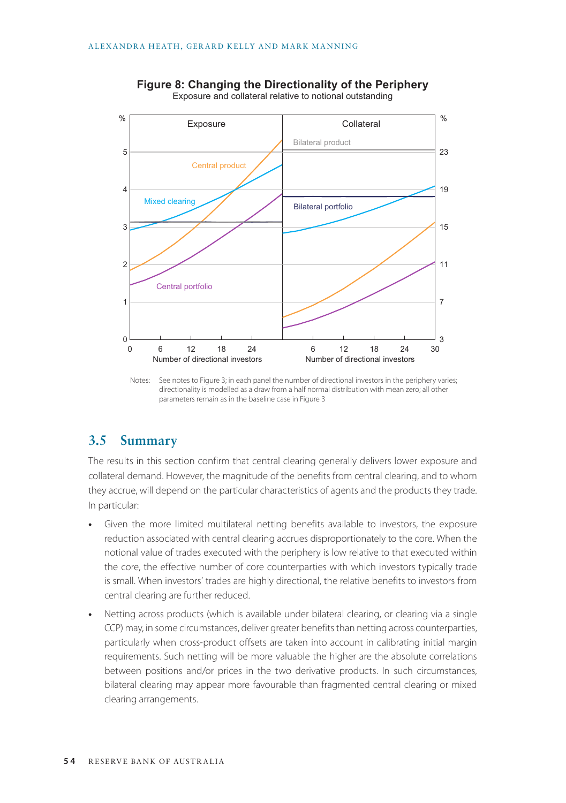

**Figure 8: Changing the Directionality of the Periphery** Exposure and collateral relative to notional outstanding

Notes: See notes to Figure 3; in each panel the number of directional investors in the periphery varies; directionality is modelled as a draw from a half normal distribution with mean zero; all other parameters remain as in the baseline case in Figure 3

### **3.5 Summary**

The results in this section confirm that central clearing generally delivers lower exposure and collateral demand. However, the magnitude of the benefits from central clearing, and to whom they accrue, will depend on the particular characteristics of agents and the products they trade. In particular:

- **•** Given the more limited multilateral netting benefits available to investors, the exposure reduction associated with central clearing accrues disproportionately to the core. When the notional value of trades executed with the periphery is low relative to that executed within the core, the effective number of core counterparties with which investors typically trade is small. When investors' trades are highly directional, the relative benefits to investors from central clearing are further reduced.
- **•** Netting across products (which is available under bilateral clearing, or clearing via a single CCP) may, in some circumstances, deliver greater benefits than netting across counterparties, particularly when cross-product offsets are taken into account in calibrating initial margin requirements. Such netting will be more valuable the higher are the absolute correlations between positions and/or prices in the two derivative products. In such circumstances, bilateral clearing may appear more favourable than fragmented central clearing or mixed clearing arrangements.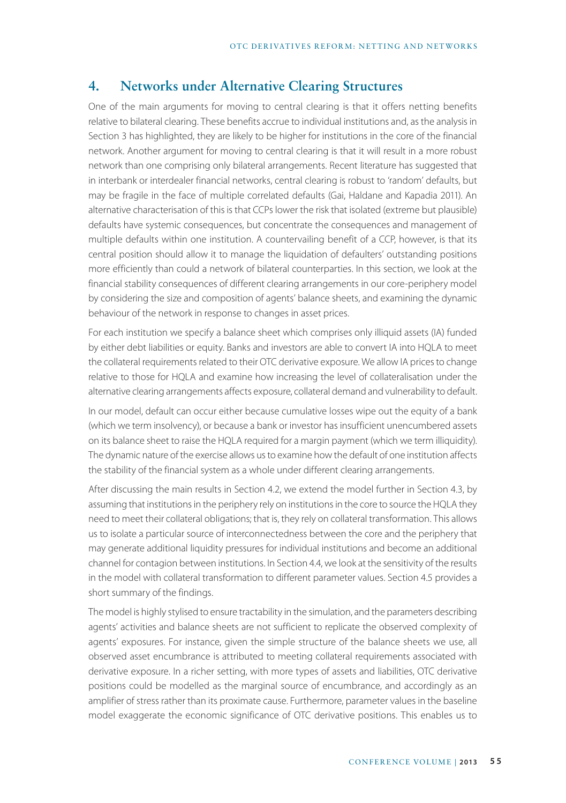# **4. Networks under Alternative Clearing Structures**

One of the main arguments for moving to central clearing is that it offers netting benefits relative to bilateral clearing. These benefits accrue to individual institutions and, as the analysis in Section 3 has highlighted, they are likely to be higher for institutions in the core of the financial network. Another argument for moving to central clearing is that it will result in a more robust network than one comprising only bilateral arrangements. Recent literature has suggested that in interbank or interdealer financial networks, central clearing is robust to 'random' defaults, but may be fragile in the face of multiple correlated defaults (Gai, Haldane and Kapadia 2011). An alternative characterisation of this is that CCPs lower the risk that isolated (extreme but plausible) defaults have systemic consequences, but concentrate the consequences and management of multiple defaults within one institution. A countervailing benefit of a CCP, however, is that its central position should allow it to manage the liquidation of defaulters' outstanding positions more efficiently than could a network of bilateral counterparties. In this section, we look at the financial stability consequences of different clearing arrangements in our core-periphery model by considering the size and composition of agents' balance sheets, and examining the dynamic behaviour of the network in response to changes in asset prices.

For each institution we specify a balance sheet which comprises only illiquid assets (IA) funded by either debt liabilities or equity. Banks and investors are able to convert IA into HQLA to meet the collateral requirements related to their OTC derivative exposure. We allow IA prices to change relative to those for HQLA and examine how increasing the level of collateralisation under the alternative clearing arrangements affects exposure, collateral demand and vulnerability to default.

In our model, default can occur either because cumulative losses wipe out the equity of a bank (which we term insolvency), or because a bank or investor has insufficient unencumbered assets on its balance sheet to raise the HQLA required for a margin payment (which we term illiquidity). The dynamic nature of the exercise allows us to examine how the default of one institution affects the stability of the financial system as a whole under different clearing arrangements.

After discussing the main results in Section 4.2, we extend the model further in Section 4.3, by assuming that institutions in the periphery rely on institutions in the core to source the HQLA they need to meet their collateral obligations; that is, they rely on collateral transformation. This allows us to isolate a particular source of interconnectedness between the core and the periphery that may generate additional liquidity pressures for individual institutions and become an additional channel for contagion between institutions. In Section 4.4, we look at the sensitivity of the results in the model with collateral transformation to different parameter values. Section 4.5 provides a short summary of the findings.

The model is highly stylised to ensure tractability in the simulation, and the parameters describing agents' activities and balance sheets are not sufficient to replicate the observed complexity of agents' exposures. For instance, given the simple structure of the balance sheets we use, all observed asset encumbrance is attributed to meeting collateral requirements associated with derivative exposure. In a richer setting, with more types of assets and liabilities, OTC derivative positions could be modelled as the marginal source of encumbrance, and accordingly as an amplifier of stress rather than its proximate cause. Furthermore, parameter values in the baseline model exaggerate the economic significance of OTC derivative positions. This enables us to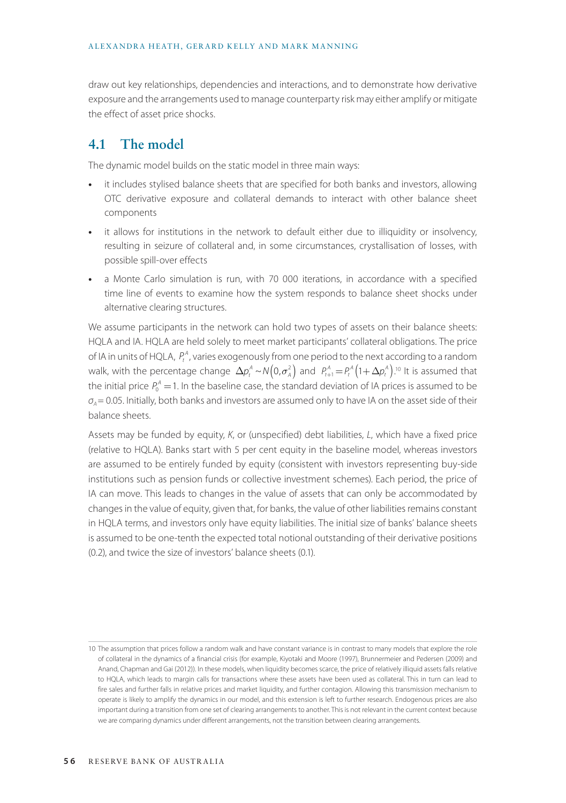draw out key relationships, dependencies and interactions, and to demonstrate how derivative exposure and the arrangements used to manage counterparty risk may either amplify or mitigate the effect of asset price shocks.

# **4.1 The model**

The dynamic model builds on the static model in three main ways:

- **•** it includes stylised balance sheets that are specified for both banks and investors, allowing OTC derivative exposure and collateral demands to interact with other balance sheet components
- **•** it allows for institutions in the network to default either due to illiquidity or insolvency, resulting in seizure of collateral and, in some circumstances, crystallisation of losses, with possible spill-over effects
- **•** a Monte Carlo simulation is run, with 70 000 iterations, in accordance with a specified time line of events to examine how the system responds to balance sheet shocks under alternative clearing structures.

We assume participants in the network can hold two types of assets on their balance sheets: HQLA and IA. HQLA are held solely to meet market participants' collateral obligations. The price of IA in units of HQLA,  $P_t^A$ , varies exogenously from one period to the next according to a random walk, with the percentage change  $\Delta p_t^A \sim N(0,\sigma_A^2)$  and  $P_{t+1}^A = P_t^A(1+\Delta p_t^A)$ .<sup>10</sup> It is assumed that the initial price  $P_0^A$  = 1. In the baseline case, the standard deviation of IA prices is assumed to be  $σ<sub>A</sub> = 0.05$ . Initially, both banks and investors are assumed only to have IA on the asset side of their balance sheets.

Assets may be funded by equity, *K*, or (unspecified) debt liabilities, *L*, which have a fixed price (relative to HQLA). Banks start with 5 per cent equity in the baseline model, whereas investors are assumed to be entirely funded by equity (consistent with investors representing buy-side institutions such as pension funds or collective investment schemes). Each period, the price of IA can move. This leads to changes in the value of assets that can only be accommodated by changes in the value of equity, given that, for banks, the value of other liabilities remains constant in HQLA terms, and investors only have equity liabilities. The initial size of banks' balance sheets is assumed to be one-tenth the expected total notional outstanding of their derivative positions (0.2), and twice the size of investors' balance sheets (0.1).

<sup>10</sup> The assumption that prices follow a random walk and have constant variance is in contrast to many models that explore the role of collateral in the dynamics of a financial crisis (for example, Kiyotaki and Moore (1997), Brunnermeier and Pedersen (2009) and Anand, Chapman and Gai (2012)). In these models, when liquidity becomes scarce, the price of relatively illiquid assets falls relative to HQLA, which leads to margin calls for transactions where these assets have been used as collateral. This in turn can lead to fire sales and further falls in relative prices and market liquidity, and further contagion. Allowing this transmission mechanism to operate is likely to amplify the dynamics in our model, and this extension is left to further research. Endogenous prices are also important during a transition from one set of clearing arrangements to another. This is not relevant in the current context because we are comparing dynamics under different arrangements, not the transition between clearing arrangements.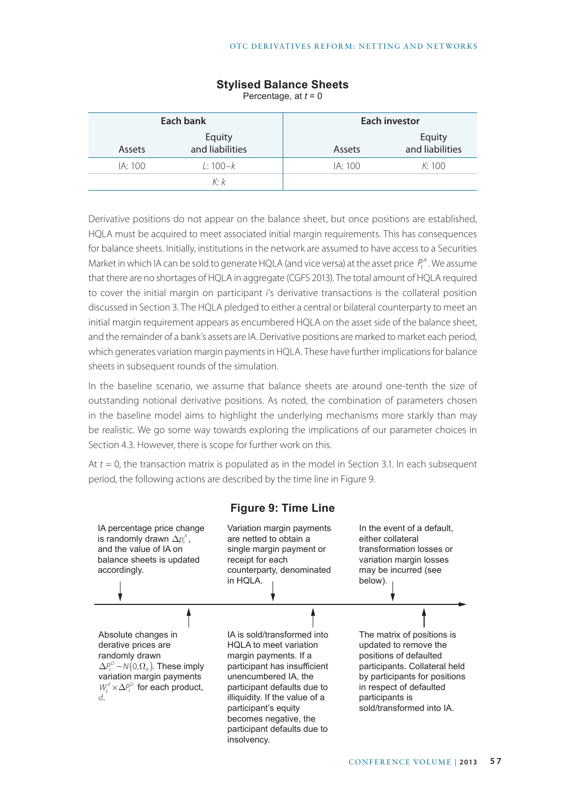| Each bank |                           | <b>Each investor</b> |                           |
|-----------|---------------------------|----------------------|---------------------------|
| Assets    | Equity<br>and liabilities | Assets               | Equity<br>and liabilities |
| IA: 100   | $1:100-k$                 | IA:100               | K:100                     |
|           | $K\cdot k$                |                      |                           |

### **Stylised Balance Sheets**

Percentage, at *t* = 0

Derivative positions do not appear on the balance sheet, but once positions are established, HQLA must be acquired to meet associated initial margin requirements. This has consequences for balance sheets. Initially, institutions in the network are assumed to have access to a Securities Market in which IA can be sold to generate HQLA (and vice versa) at the asset price  $P_t^A$ . We assume that there are no shortages of HQLA in aggregate (CGFS 2013). The total amount of HQLA required to cover the initial margin on participant *i*'s derivative transactions is the collateral position discussed in Section 3. The HQLA pledged to either a central or bilateral counterparty to meet an initial margin requirement appears as encumbered HQLA on the asset side of the balance sheet, and the remainder of a bank's assets are IA. Derivative positions are marked to market each period, which generates variation margin payments in HQLA. These have further implications for balance sheets in subsequent rounds of the simulation.

In the baseline scenario, we assume that balance sheets are around one-tenth the size of outstanding notional derivative positions. As noted, the combination of parameters chosen in the baseline model aims to highlight the underlying mechanisms more starkly than may be realistic. We go some way towards exploring the implications of our parameter choices in Section 4.3. However, there is scope for further work on this.

At *t* = 0, the transaction matrix is populated as in the model in Section 3.1. In each subsequent period, the following actions are described by the time line in Figure 9.

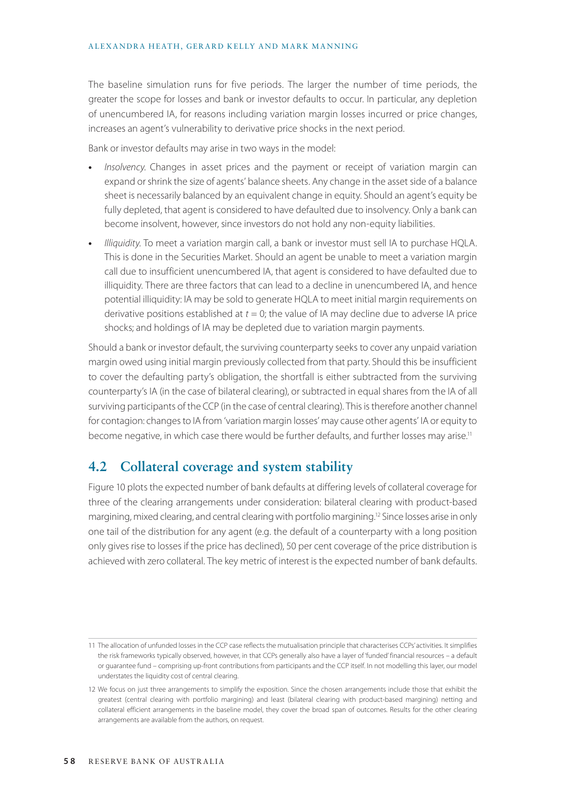The baseline simulation runs for five periods. The larger the number of time periods, the greater the scope for losses and bank or investor defaults to occur. In particular, any depletion of unencumbered IA, for reasons including variation margin losses incurred or price changes, increases an agent's vulnerability to derivative price shocks in the next period.

Bank or investor defaults may arise in two ways in the model:

- **•** *Insolvency*. Changes in asset prices and the payment or receipt of variation margin can expand or shrink the size of agents' balance sheets. Any change in the asset side of a balance sheet is necessarily balanced by an equivalent change in equity. Should an agent's equity be fully depleted, that agent is considered to have defaulted due to insolvency. Only a bank can become insolvent, however, since investors do not hold any non-equity liabilities.
- **•** *Illiquidity*. To meet a variation margin call, a bank or investor must sell IA to purchase HQLA. This is done in the Securities Market. Should an agent be unable to meet a variation margin call due to insufficient unencumbered IA, that agent is considered to have defaulted due to illiquidity. There are three factors that can lead to a decline in unencumbered IA, and hence potential illiquidity: IA may be sold to generate HQLA to meet initial margin requirements on derivative positions established at *t* = 0; the value of IA may decline due to adverse IA price shocks; and holdings of IA may be depleted due to variation margin payments.

Should a bank or investor default, the surviving counterparty seeks to cover any unpaid variation margin owed using initial margin previously collected from that party. Should this be insufficient to cover the defaulting party's obligation, the shortfall is either subtracted from the surviving counterparty's IA (in the case of bilateral clearing), or subtracted in equal shares from the IA of all surviving participants of the CCP (in the case of central clearing). This is therefore another channel for contagion: changes to IA from 'variation margin losses' may cause other agents' IA or equity to become negative, in which case there would be further defaults, and further losses may arise.<sup>11</sup>

### **4.2 Collateral coverage and system stability**

Figure 10 plots the expected number of bank defaults at differing levels of collateral coverage for three of the clearing arrangements under consideration: bilateral clearing with product-based margining, mixed clearing, and central clearing with portfolio margining.12 Since losses arise in only one tail of the distribution for any agent (e.g. the default of a counterparty with a long position only gives rise to losses if the price has declined), 50 per cent coverage of the price distribution is achieved with zero collateral. The key metric of interest is the expected number of bank defaults.

<sup>11</sup> The allocation of unfunded losses in the CCP case reflects the mutualisation principle that characterises CCPs' activities. It simplifies the risk frameworks typically observed, however, in that CCPs generally also have a layer of 'funded' financial resources – a default or guarantee fund – comprising up-front contributions from participants and the CCP itself. In not modelling this layer, our model understates the liquidity cost of central clearing.

<sup>12</sup> We focus on just three arrangements to simplify the exposition. Since the chosen arrangements include those that exhibit the greatest (central clearing with portfolio margining) and least (bilateral clearing with product-based margining) netting and collateral efficient arrangements in the baseline model, they cover the broad span of outcomes. Results for the other clearing arrangements are available from the authors, on request.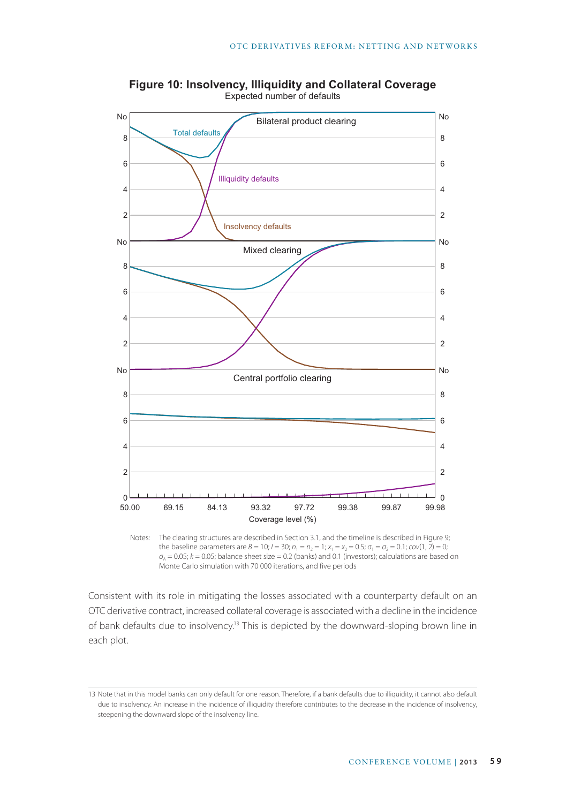

**Figure 10: Insolvency, Illiquidity and Collateral Coverage** Expected number of defaults

Notes: The clearing structures are described in Section 3.1, and the timeline is described in Figure 9; the baseline parameters are  $B = 10$ ;  $I = 30$ ;  $n_1 = n_2 = 1$ ;  $x_1 = x_2 = 0.5$ ;  $\sigma_1 = \sigma_2 = 0.1$ ;  $cov(1, 2) = 0$ ;  $\sigma_{\rm A}$  = 0.05; *k* = 0.05; balance sheet size = 0.2 (banks) and 0.1 (investors); calculations are based on Monte Carlo simulation with 70 000 iterations, and five periods

Consistent with its role in mitigating the losses associated with a counterparty default on an OTC derivative contract, increased collateral coverage is associated with a decline in the incidence of bank defaults due to insolvency.13 This is depicted by the downward-sloping brown line in each plot.

<sup>13</sup> Note that in this model banks can only default for one reason. Therefore, if a bank defaults due to illiquidity, it cannot also default due to insolvency. An increase in the incidence of illiquidity therefore contributes to the decrease in the incidence of insolvency, steepening the downward slope of the insolvency line.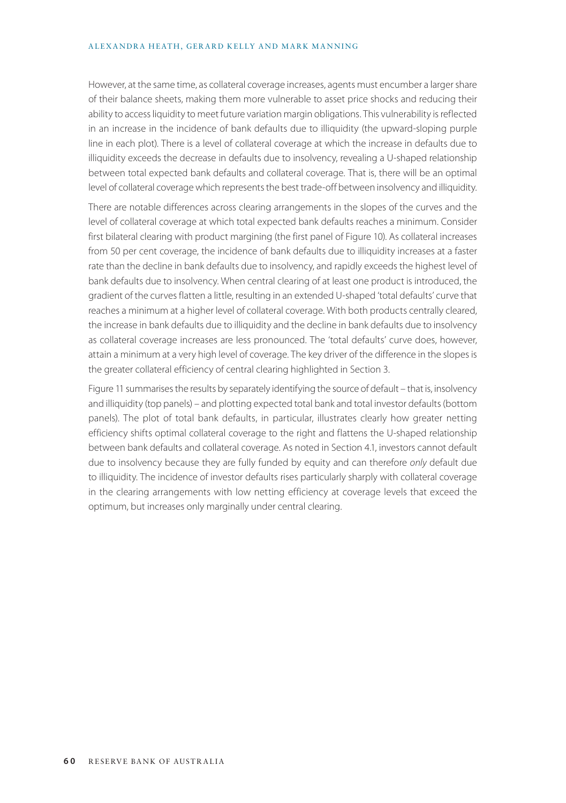#### ALEXANDRA HEATH, GERARD KELLY AND MARK MANNING

However, at the same time, as collateral coverage increases, agents must encumber a larger share of their balance sheets, making them more vulnerable to asset price shocks and reducing their ability to access liquidity to meet future variation margin obligations. This vulnerability is reflected in an increase in the incidence of bank defaults due to illiquidity (the upward-sloping purple line in each plot). There is a level of collateral coverage at which the increase in defaults due to illiquidity exceeds the decrease in defaults due to insolvency, revealing a U-shaped relationship between total expected bank defaults and collateral coverage. That is, there will be an optimal level of collateral coverage which represents the best trade-off between insolvency and illiquidity.

There are notable differences across clearing arrangements in the slopes of the curves and the level of collateral coverage at which total expected bank defaults reaches a minimum. Consider first bilateral clearing with product margining (the first panel of Figure 10). As collateral increases from 50 per cent coverage, the incidence of bank defaults due to illiquidity increases at a faster rate than the decline in bank defaults due to insolvency, and rapidly exceeds the highest level of bank defaults due to insolvency. When central clearing of at least one product is introduced, the gradient of the curves flatten a little, resulting in an extended U-shaped 'total defaults' curve that reaches a minimum at a higher level of collateral coverage. With both products centrally cleared, the increase in bank defaults due to illiquidity and the decline in bank defaults due to insolvency as collateral coverage increases are less pronounced. The 'total defaults' curve does, however, attain a minimum at a very high level of coverage. The key driver of the difference in the slopes is the greater collateral efficiency of central clearing highlighted in Section 3.

Figure 11 summarises the results by separately identifying the source of default – that is, insolvency and illiquidity (top panels) – and plotting expected total bank and total investor defaults (bottom panels). The plot of total bank defaults, in particular, illustrates clearly how greater netting efficiency shifts optimal collateral coverage to the right and flattens the U-shaped relationship between bank defaults and collateral coverage. As noted in Section 4.1, investors cannot default due to insolvency because they are fully funded by equity and can therefore *only* default due to illiquidity. The incidence of investor defaults rises particularly sharply with collateral coverage in the clearing arrangements with low netting efficiency at coverage levels that exceed the optimum, but increases only marginally under central clearing.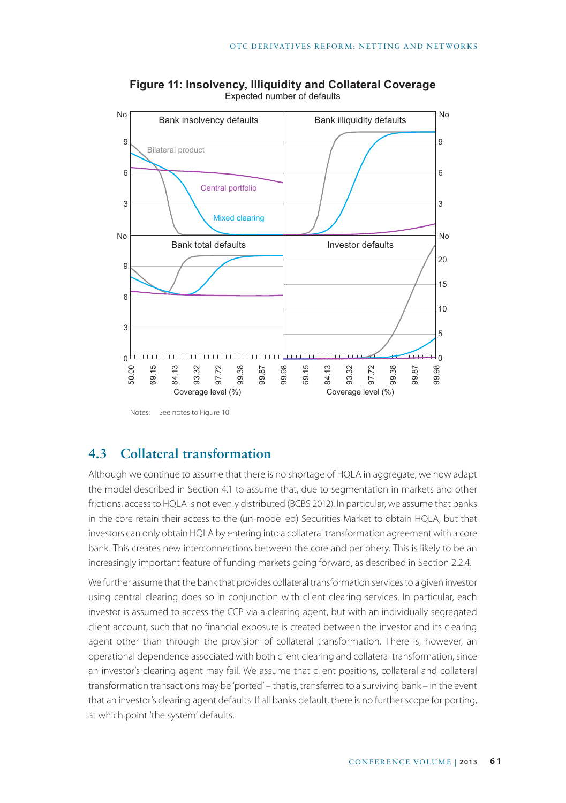

**Figure 11: Insolvency, Illiquidity and Collateral Coverage** Expected number of defaults

Notes: See notes to Figure 10

# **4.3 Collateral transformation**

Although we continue to assume that there is no shortage of HQLA in aggregate, we now adapt the model described in Section 4.1 to assume that, due to segmentation in markets and other frictions, access to HQLA is not evenly distributed (BCBS 2012). In particular, we assume that banks in the core retain their access to the (un-modelled) Securities Market to obtain HQLA, but that investors can only obtain HQLA by entering into a collateral transformation agreement with a core bank. This creates new interconnections between the core and periphery. This is likely to be an increasingly important feature of funding markets going forward, as described in Section 2.2.4.

We further assume that the bank that provides collateral transformation services to a given investor using central clearing does so in conjunction with client clearing services. In particular, each investor is assumed to access the CCP via a clearing agent, but with an individually segregated client account, such that no financial exposure is created between the investor and its clearing agent other than through the provision of collateral transformation. There is, however, an operational dependence associated with both client clearing and collateral transformation, since an investor's clearing agent may fail. We assume that client positions, collateral and collateral transformation transactions may be 'ported' – that is, transferred to a surviving bank – in the event that an investor's clearing agent defaults. If all banks default, there is no further scope for porting, at which point 'the system' defaults.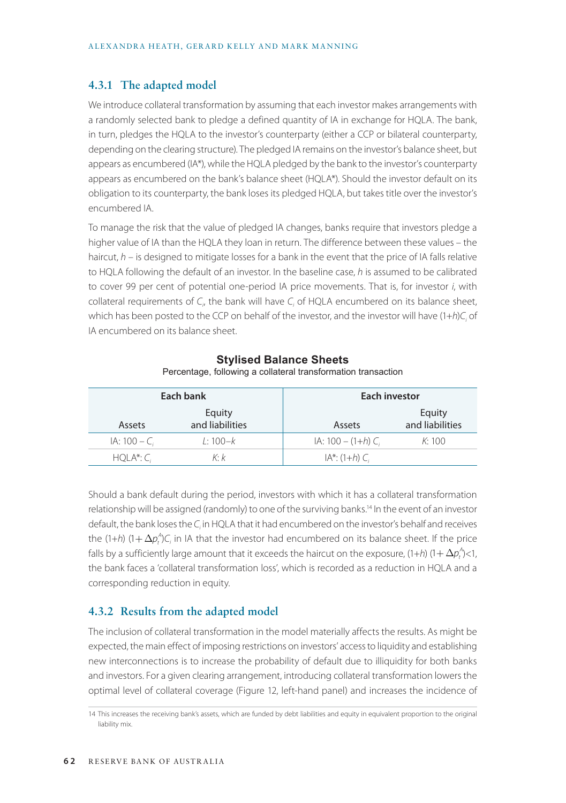#### **4.3.1 The adapted model**

We introduce collateral transformation by assuming that each investor makes arrangements with a randomly selected bank to pledge a defined quantity of IA in exchange for HQLA. The bank, in turn, pledges the HQLA to the investor's counterparty (either a CCP or bilateral counterparty, depending on the clearing structure). The pledged IA remains on the investor's balance sheet, but appears as encumbered (IA\*), while the HQLA pledged by the bank to the investor's counterparty appears as encumbered on the bank's balance sheet (HQLA\*). Should the investor default on its obligation to its counterparty, the bank loses its pledged HQLA, but takes title over the investor's encumbered IA.

To manage the risk that the value of pledged IA changes, banks require that investors pledge a higher value of IA than the HQLA they loan in return. The difference between these values – the haircut, *h* – is designed to mitigate losses for a bank in the event that the price of IA falls relative to HQLA following the default of an investor. In the baseline case, *h* is assumed to be calibrated to cover 99 per cent of potential one-period IA price movements. That is, for investor *i*, with collateral requirements of *C*<sub>*i*</sub>, the bank will have *C*<sub>*i*</sub> of HQLA encumbered on its balance sheet, which has been posted to the CCP on behalf of the investor, and the investor will have (1+*h*)C<sub>i</sub> of IA encumbered on its balance sheet.

| Each bank        |                           | Each investor         |                           |
|------------------|---------------------------|-----------------------|---------------------------|
| <b>Assets</b>    | Equity<br>and liabilities | Assets                | Equity<br>and liabilities |
| $IA: 100 - C_i$  | $1:100-k$                 | $IA: 100 - (1+h) C_i$ | K:100                     |
| $HQLA^*$ : $C_i$ | K· k                      | $IA^*$ : (1+h) $C_i$  |                           |

### **Stylised Balance Sheets**

Percentage, following a collateral transformation transaction

Should a bank default during the period, investors with which it has a collateral transformation relationship will be assigned (randomly) to one of the surviving banks.14 In the event of an investor default, the bank loses the *C<sub>i</sub>* in HQLA that it had encumbered on the investor's behalf and receives the (1+*h*) (1+  $\Delta p_t^A$ )C<sub>i</sub> in IA that the investor had encumbered on its balance sheet. If the price falls by a sufficiently large amount that it exceeds the haircut on the exposure, (1+*h*) (1+  $\Delta p_t^A$ /<1, the bank faces a 'collateral transformation loss', which is recorded as a reduction in HQLA and a corresponding reduction in equity.

### **4.3.2 Results from the adapted model**

The inclusion of collateral transformation in the model materially affects the results. As might be expected, the main effect of imposing restrictions on investors' access to liquidity and establishing new interconnections is to increase the probability of default due to illiquidity for both banks and investors. For a given clearing arrangement, introducing collateral transformation lowers the optimal level of collateral coverage (Figure 12, left-hand panel) and increases the incidence of

<sup>14</sup> This increases the receiving bank's assets, which are funded by debt liabilities and equity in equivalent proportion to the original liability mix.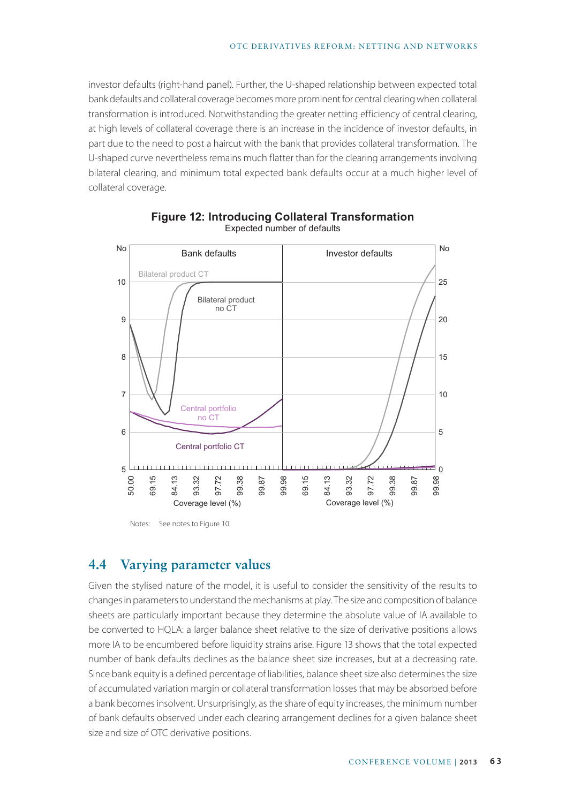investor defaults (right-hand panel). Further, the U-shaped relationship between expected total bank defaults and collateral coverage becomes more prominent for central clearing when collateral transformation is introduced. Notwithstanding the greater netting efficiency of central clearing, at high levels of collateral coverage there is an increase in the incidence of investor defaults, in part due to the need to post a haircut with the bank that provides collateral transformation. The U-shaped curve nevertheless remains much flatter than for the clearing arrangements involving bilateral clearing, and minimum total expected bank defaults occur at a much higher level of collateral coverage.



#### **Figure 12: Introducing Collateral Transformation**  Expected number of defaults

Notes: See notes to Figure 10

# **4.4 Varying parameter values**

Given the stylised nature of the model, it is useful to consider the sensitivity of the results to changes in parameters to understand the mechanisms at play. The size and composition of balance sheets are particularly important because they determine the absolute value of IA available to be converted to HQLA: a larger balance sheet relative to the size of derivative positions allows more IA to be encumbered before liquidity strains arise. Figure 13 shows that the total expected number of bank defaults declines as the balance sheet size increases, but at a decreasing rate. Since bank equity is a defined percentage of liabilities, balance sheet size also determines the size of accumulated variation margin or collateral transformation losses that may be absorbed before a bank becomes insolvent. Unsurprisingly, as the share of equity increases, the minimum number of bank defaults observed under each clearing arrangement declines for a given balance sheet size and size of OTC derivative positions.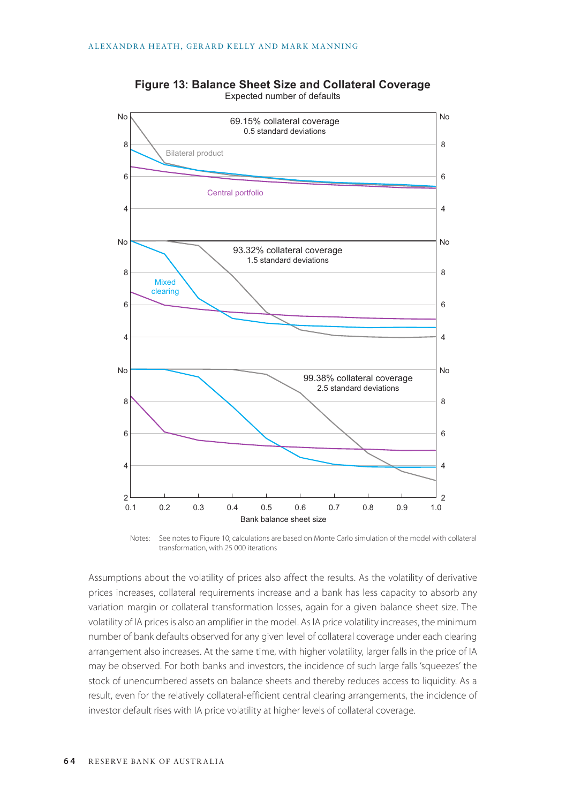

**Figure 13: Balance Sheet Size and Collateral Coverage** Expected number of defaults

Notes: See notes to Figure 10; calculations are based on Monte Carlo simulation of the model with collateral transformation, with 25 000 iterations

Assumptions about the volatility of prices also affect the results. As the volatility of derivative prices increases, collateral requirements increase and a bank has less capacity to absorb any variation margin or collateral transformation losses, again for a given balance sheet size. The volatility of IA prices is also an amplifier in the model. As IA price volatility increases, the minimum number of bank defaults observed for any given level of collateral coverage under each clearing arrangement also increases. At the same time, with higher volatility, larger falls in the price of IA may be observed. For both banks and investors, the incidence of such large falls 'squeezes' the stock of unencumbered assets on balance sheets and thereby reduces access to liquidity. As a result, even for the relatively collateral-efficient central clearing arrangements, the incidence of investor default rises with IA price volatility at higher levels of collateral coverage.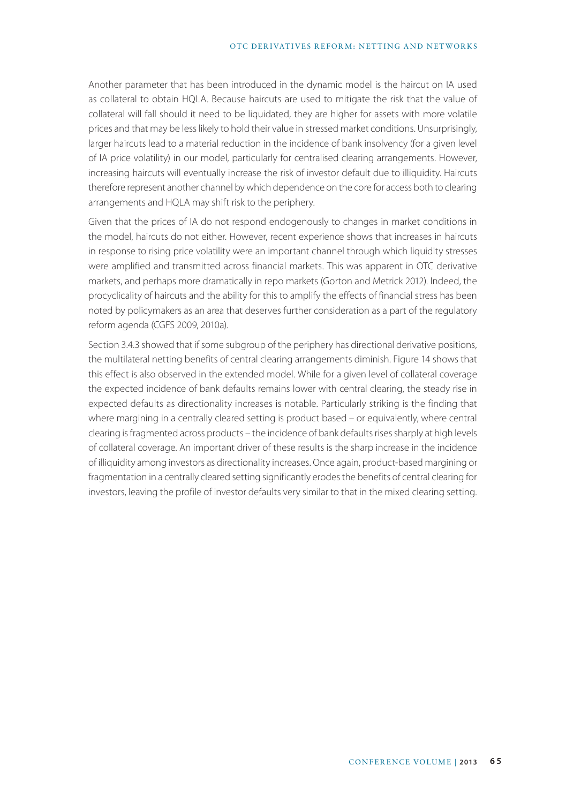#### OTC DERIVATIVES REFORM: NETTING AND NETWORKS

Another parameter that has been introduced in the dynamic model is the haircut on IA used as collateral to obtain HQLA. Because haircuts are used to mitigate the risk that the value of collateral will fall should it need to be liquidated, they are higher for assets with more volatile prices and that may be less likely to hold their value in stressed market conditions. Unsurprisingly, larger haircuts lead to a material reduction in the incidence of bank insolvency (for a given level of IA price volatility) in our model, particularly for centralised clearing arrangements. However, increasing haircuts will eventually increase the risk of investor default due to illiquidity. Haircuts therefore represent another channel by which dependence on the core for access both to clearing arrangements and HQLA may shift risk to the periphery.

Given that the prices of IA do not respond endogenously to changes in market conditions in the model, haircuts do not either. However, recent experience shows that increases in haircuts in response to rising price volatility were an important channel through which liquidity stresses were amplified and transmitted across financial markets. This was apparent in OTC derivative markets, and perhaps more dramatically in repo markets (Gorton and Metrick 2012). Indeed, the procyclicality of haircuts and the ability for this to amplify the effects of financial stress has been noted by policymakers as an area that deserves further consideration as a part of the regulatory reform agenda (CGFS 2009, 2010a).

Section 3.4.3 showed that if some subgroup of the periphery has directional derivative positions, the multilateral netting benefits of central clearing arrangements diminish. Figure 14 shows that this effect is also observed in the extended model. While for a given level of collateral coverage the expected incidence of bank defaults remains lower with central clearing, the steady rise in expected defaults as directionality increases is notable. Particularly striking is the finding that where margining in a centrally cleared setting is product based – or equivalently, where central clearing is fragmented across products – the incidence of bank defaults rises sharply at high levels of collateral coverage. An important driver of these results is the sharp increase in the incidence of illiquidity among investors as directionality increases. Once again, product-based margining or fragmentation in a centrally cleared setting significantly erodes the benefits of central clearing for investors, leaving the profile of investor defaults very similar to that in the mixed clearing setting.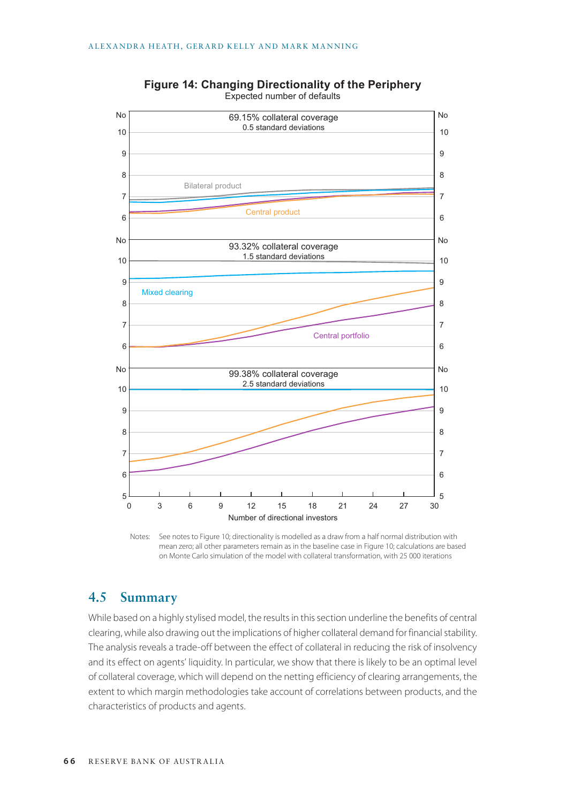

**Figure 14: Changing Directionality of the Periphery** Expected number of defaults

Notes: See notes to Figure 10; directionality is modelled as a draw from a half normal distribution with mean zero; all other parameters remain as in the baseline case in Figure 10; calculations are based on Monte Carlo simulation of the model with collateral transformation, with 25 000 iterations

# **4.5 Summary**

While based on a highly stylised model, the results in this section underline the benefits of central clearing, while also drawing out the implications of higher collateral demand for financial stability. The analysis reveals a trade-off between the effect of collateral in reducing the risk of insolvency and its effect on agents' liquidity. In particular, we show that there is likely to be an optimal level of collateral coverage, which will depend on the netting efficiency of clearing arrangements, the extent to which margin methodologies take account of correlations between products, and the characteristics of products and agents.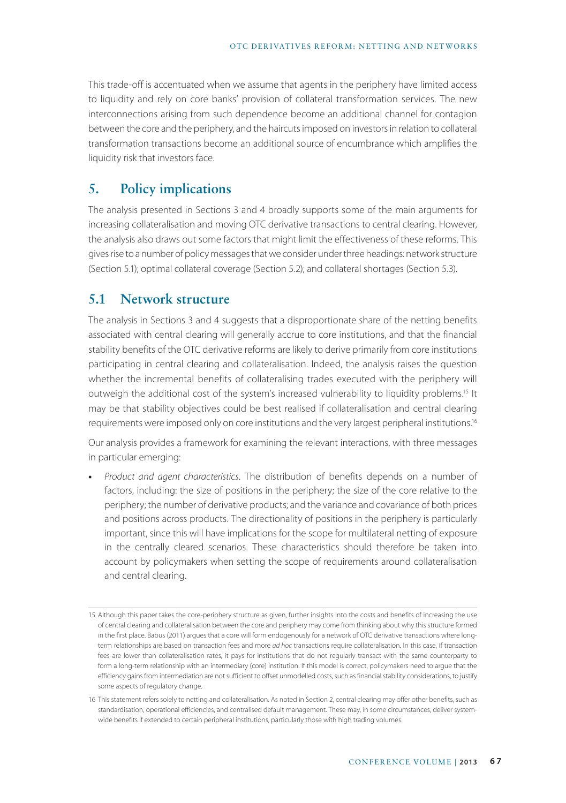This trade-off is accentuated when we assume that agents in the periphery have limited access to liquidity and rely on core banks' provision of collateral transformation services. The new interconnections arising from such dependence become an additional channel for contagion between the core and the periphery, and the haircuts imposed on investors in relation to collateral transformation transactions become an additional source of encumbrance which amplifies the liquidity risk that investors face.

### **5. Policy implications**

The analysis presented in Sections 3 and 4 broadly supports some of the main arguments for increasing collateralisation and moving OTC derivative transactions to central clearing. However, the analysis also draws out some factors that might limit the effectiveness of these reforms. This gives rise to a number of policy messages that we consider under three headings: network structure (Section 5.1); optimal collateral coverage (Section 5.2); and collateral shortages (Section 5.3).

# **5.1 Network structure**

The analysis in Sections 3 and 4 suggests that a disproportionate share of the netting benefits associated with central clearing will generally accrue to core institutions, and that the financial stability benefits of the OTC derivative reforms are likely to derive primarily from core institutions participating in central clearing and collateralisation. Indeed, the analysis raises the question whether the incremental benefits of collateralising trades executed with the periphery will outweigh the additional cost of the system's increased vulnerability to liquidity problems.<sup>15</sup> It may be that stability objectives could be best realised if collateralisation and central clearing requirements were imposed only on core institutions and the very largest peripheral institutions.<sup>16</sup>

Our analysis provides a framework for examining the relevant interactions, with three messages in particular emerging:

**•** *Product and agent characteristics*. The distribution of benefits depends on a number of factors, including: the size of positions in the periphery; the size of the core relative to the periphery; the number of derivative products; and the variance and covariance of both prices and positions across products. The directionality of positions in the periphery is particularly important, since this will have implications for the scope for multilateral netting of exposure in the centrally cleared scenarios. These characteristics should therefore be taken into account by policymakers when setting the scope of requirements around collateralisation and central clearing.

<sup>15</sup> Although this paper takes the core-periphery structure as given, further insights into the costs and benefits of increasing the use of central clearing and collateralisation between the core and periphery may come from thinking about why this structure formed in the first place. Babus (2011) argues that a core will form endogenously for a network of OTC derivative transactions where longterm relationships are based on transaction fees and more *ad hoc* transactions require collateralisation. In this case, if transaction fees are lower than collateralisation rates, it pays for institutions that do not regularly transact with the same counterparty to form a long-term relationship with an intermediary (core) institution. If this model is correct, policymakers need to argue that the efficiency gains from intermediation are not sufficient to offset unmodelled costs, such as financial stability considerations, to justify some aspects of regulatory change.

<sup>16</sup> This statement refers solely to netting and collateralisation. As noted in Section 2, central clearing may offer other benefits, such as standardisation, operational efficiencies, and centralised default management. These may, in some circumstances, deliver systemwide benefits if extended to certain peripheral institutions, particularly those with high trading volumes.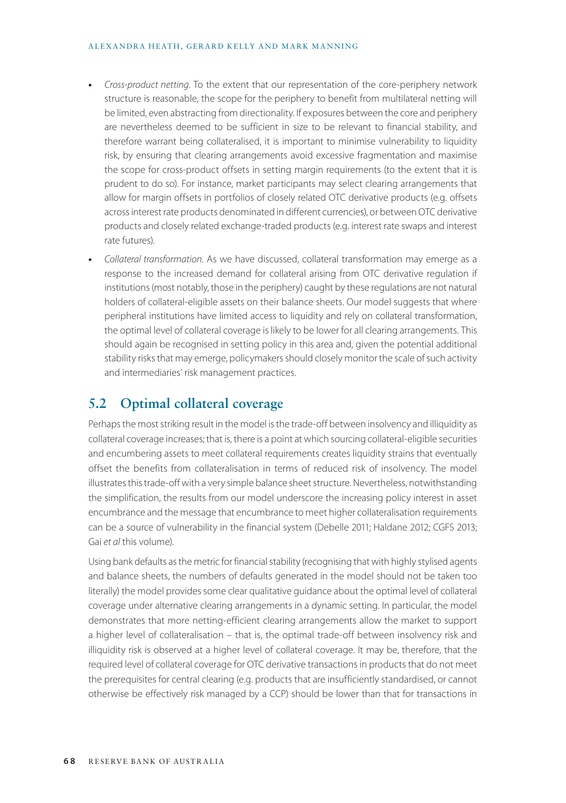#### ALEXANDRA HEATH, GERARD KELLY AND MARK MANNING

- **•** *Cross-product netting*. To the extent that our representation of the core-periphery network structure is reasonable, the scope for the periphery to benefit from multilateral netting will be limited, even abstracting from directionality. If exposures between the core and periphery are nevertheless deemed to be sufficient in size to be relevant to financial stability, and therefore warrant being collateralised, it is important to minimise vulnerability to liquidity risk, by ensuring that clearing arrangements avoid excessive fragmentation and maximise the scope for cross-product offsets in setting margin requirements (to the extent that it is prudent to do so). For instance, market participants may select clearing arrangements that allow for margin offsets in portfolios of closely related OTC derivative products (e.g. offsets across interest rate products denominated in different currencies), or between OTC derivative products and closely related exchange-traded products (e.g. interest rate swaps and interest rate futures).
- **•** *Collateral transformation*. As we have discussed, collateral transformation may emerge as a response to the increased demand for collateral arising from OTC derivative regulation if institutions (most notably, those in the periphery) caught by these regulations are not natural holders of collateral-eligible assets on their balance sheets. Our model suggests that where peripheral institutions have limited access to liquidity and rely on collateral transformation, the optimal level of collateral coverage is likely to be lower for all clearing arrangements. This should again be recognised in setting policy in this area and, given the potential additional stability risks that may emerge, policymakers should closely monitor the scale of such activity and intermediaries' risk management practices.

# **5.2 Optimal collateral coverage**

Perhaps the most striking result in the model is the trade-off between insolvency and illiquidity as collateral coverage increases; that is, there is a point at which sourcing collateral-eligible securities and encumbering assets to meet collateral requirements creates liquidity strains that eventually offset the benefits from collateralisation in terms of reduced risk of insolvency. The model illustrates this trade-off with a very simple balance sheet structure. Nevertheless, notwithstanding the simplification, the results from our model underscore the increasing policy interest in asset encumbrance and the message that encumbrance to meet higher collateralisation requirements can be a source of vulnerability in the financial system (Debelle 2011; Haldane 2012; CGFS 2013; Gai *et al* this volume).

Using bank defaults as the metric for financial stability (recognising that with highly stylised agents and balance sheets, the numbers of defaults generated in the model should not be taken too literally) the model provides some clear qualitative guidance about the optimal level of collateral coverage under alternative clearing arrangements in a dynamic setting. In particular, the model demonstrates that more netting-efficient clearing arrangements allow the market to support a higher level of collateralisation – that is, the optimal trade-off between insolvency risk and illiquidity risk is observed at a higher level of collateral coverage. It may be, therefore, that the required level of collateral coverage for OTC derivative transactions in products that do not meet the prerequisites for central clearing (e.g. products that are insufficiently standardised, or cannot otherwise be effectively risk managed by a CCP) should be lower than that for transactions in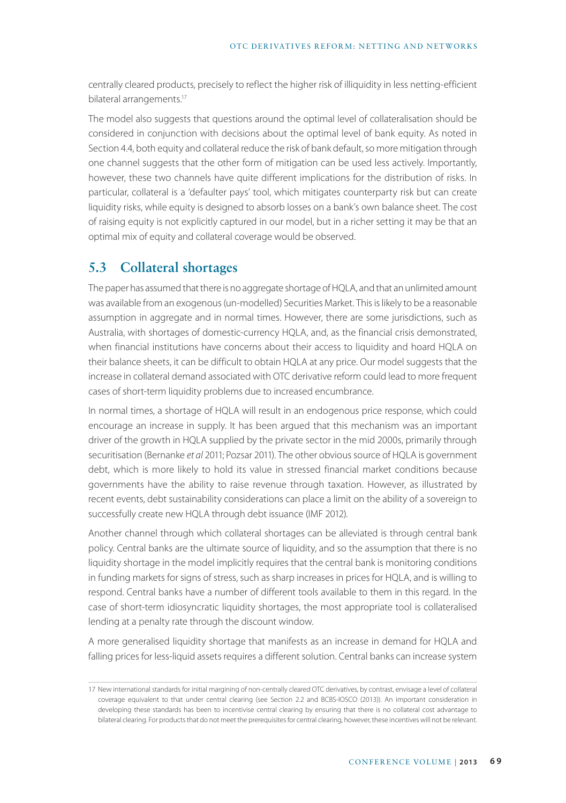centrally cleared products, precisely to reflect the higher risk of illiquidity in less netting-efficient bilateral arrangements.<sup>17</sup>

The model also suggests that questions around the optimal level of collateralisation should be considered in conjunction with decisions about the optimal level of bank equity. As noted in Section 4.4, both equity and collateral reduce the risk of bank default, so more mitigation through one channel suggests that the other form of mitigation can be used less actively. Importantly, however, these two channels have quite different implications for the distribution of risks. In particular, collateral is a 'defaulter pays' tool, which mitigates counterparty risk but can create liquidity risks, while equity is designed to absorb losses on a bank's own balance sheet. The cost of raising equity is not explicitly captured in our model, but in a richer setting it may be that an optimal mix of equity and collateral coverage would be observed.

### **5.3 Collateral shortages**

The paper has assumed that there is no aggregate shortage of HQLA, and that an unlimited amount was available from an exogenous (un-modelled) Securities Market. This is likely to be a reasonable assumption in aggregate and in normal times. However, there are some jurisdictions, such as Australia, with shortages of domestic-currency HQLA, and, as the financial crisis demonstrated, when financial institutions have concerns about their access to liquidity and hoard HQLA on their balance sheets, it can be difficult to obtain HQLA at any price. Our model suggests that the increase in collateral demand associated with OTC derivative reform could lead to more frequent cases of short-term liquidity problems due to increased encumbrance.

In normal times, a shortage of HQLA will result in an endogenous price response, which could encourage an increase in supply. It has been argued that this mechanism was an important driver of the growth in HQLA supplied by the private sector in the mid 2000s, primarily through securitisation (Bernanke *et al* 2011; Pozsar 2011). The other obvious source of HQLA is government debt, which is more likely to hold its value in stressed financial market conditions because governments have the ability to raise revenue through taxation. However, as illustrated by recent events, debt sustainability considerations can place a limit on the ability of a sovereign to successfully create new HQLA through debt issuance (IMF 2012).

Another channel through which collateral shortages can be alleviated is through central bank policy. Central banks are the ultimate source of liquidity, and so the assumption that there is no liquidity shortage in the model implicitly requires that the central bank is monitoring conditions in funding markets for signs of stress, such as sharp increases in prices for HQLA, and is willing to respond. Central banks have a number of different tools available to them in this regard. In the case of short-term idiosyncratic liquidity shortages, the most appropriate tool is collateralised lending at a penalty rate through the discount window.

A more generalised liquidity shortage that manifests as an increase in demand for HQLA and falling prices for less-liquid assets requires a different solution. Central banks can increase system

<sup>17</sup> New international standards for initial margining of non-centrally cleared OTC derivatives, by contrast, envisage a level of collateral coverage equivalent to that under central clearing (see Section 2.2 and BCBS-IOSCO (2013)). An important consideration in developing these standards has been to incentivise central clearing by ensuring that there is no collateral cost advantage to bilateral clearing. For products that do not meet the prerequisites for central clearing, however, these incentives will not be relevant.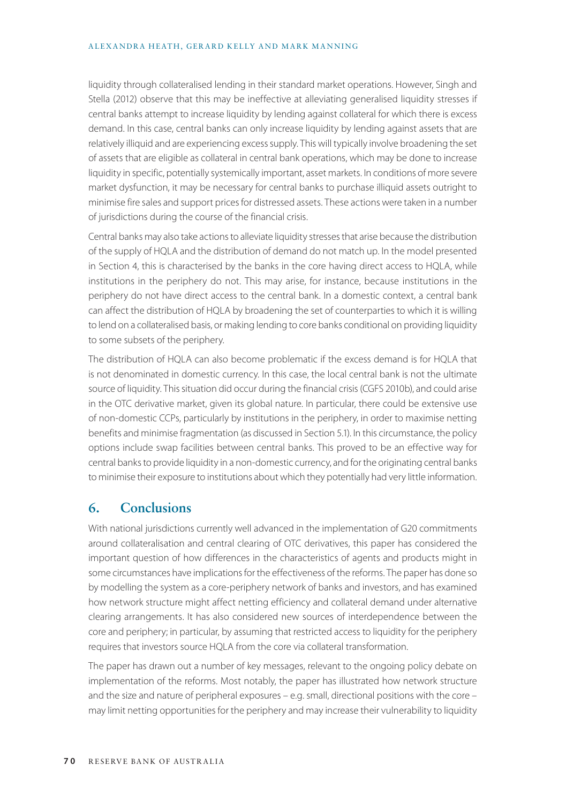#### ALEXANDRA HEATH, GERARD KELLY AND MARK MANNING

liquidity through collateralised lending in their standard market operations. However, Singh and Stella (2012) observe that this may be ineffective at alleviating generalised liquidity stresses if central banks attempt to increase liquidity by lending against collateral for which there is excess demand. In this case, central banks can only increase liquidity by lending against assets that are relatively illiquid and are experiencing excess supply. This will typically involve broadening the set of assets that are eligible as collateral in central bank operations, which may be done to increase liquidity in specific, potentially systemically important, asset markets. In conditions of more severe market dysfunction, it may be necessary for central banks to purchase illiquid assets outright to minimise fire sales and support prices for distressed assets. These actions were taken in a number of jurisdictions during the course of the financial crisis.

Central banks may also take actions to alleviate liquidity stresses that arise because the distribution of the supply of HQLA and the distribution of demand do not match up. In the model presented in Section 4, this is characterised by the banks in the core having direct access to HQLA, while institutions in the periphery do not. This may arise, for instance, because institutions in the periphery do not have direct access to the central bank. In a domestic context, a central bank can affect the distribution of HQLA by broadening the set of counterparties to which it is willing to lend on a collateralised basis, or making lending to core banks conditional on providing liquidity to some subsets of the periphery.

The distribution of HQLA can also become problematic if the excess demand is for HQLA that is not denominated in domestic currency. In this case, the local central bank is not the ultimate source of liquidity. This situation did occur during the financial crisis (CGFS 2010b), and could arise in the OTC derivative market, given its global nature. In particular, there could be extensive use of non-domestic CCPs, particularly by institutions in the periphery, in order to maximise netting benefits and minimise fragmentation (as discussed in Section 5.1). In this circumstance, the policy options include swap facilities between central banks. This proved to be an effective way for central banks to provide liquidity in a non-domestic currency, and for the originating central banks to minimise their exposure to institutions about which they potentially had very little information.

### **6. Conclusions**

With national jurisdictions currently well advanced in the implementation of G20 commitments around collateralisation and central clearing of OTC derivatives, this paper has considered the important question of how differences in the characteristics of agents and products might in some circumstances have implications for the effectiveness of the reforms. The paper has done so by modelling the system as a core-periphery network of banks and investors, and has examined how network structure might affect netting efficiency and collateral demand under alternative clearing arrangements. It has also considered new sources of interdependence between the core and periphery; in particular, by assuming that restricted access to liquidity for the periphery requires that investors source HQLA from the core via collateral transformation.

The paper has drawn out a number of key messages, relevant to the ongoing policy debate on implementation of the reforms. Most notably, the paper has illustrated how network structure and the size and nature of peripheral exposures – e.g. small, directional positions with the core – may limit netting opportunities for the periphery and may increase their vulnerability to liquidity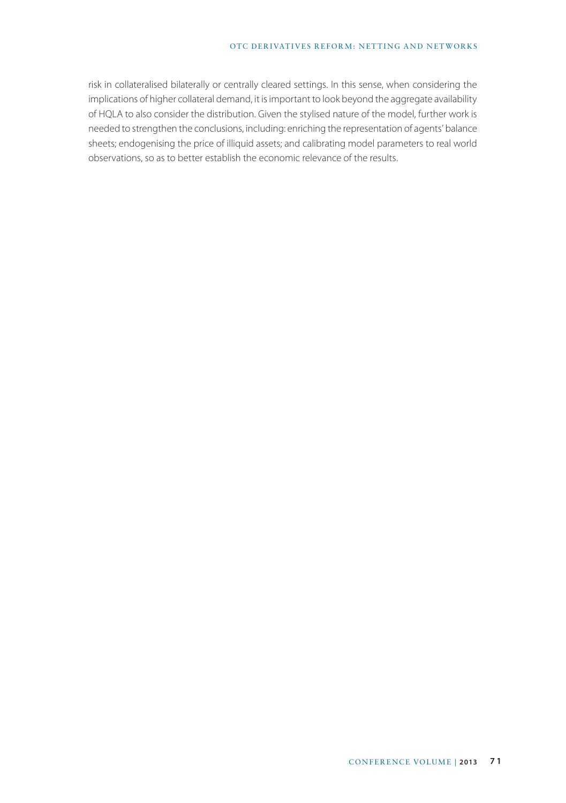#### OTC DERIVATIVES REFORM: NETTING AND NETWORKS

risk in collateralised bilaterally or centrally cleared settings. In this sense, when considering the implications of higher collateral demand, it is important to look beyond the aggregate availability of HQLA to also consider the distribution. Given the stylised nature of the model, further work is needed to strengthen the conclusions, including: enriching the representation of agents' balance sheets; endogenising the price of illiquid assets; and calibrating model parameters to real world observations, so as to better establish the economic relevance of the results.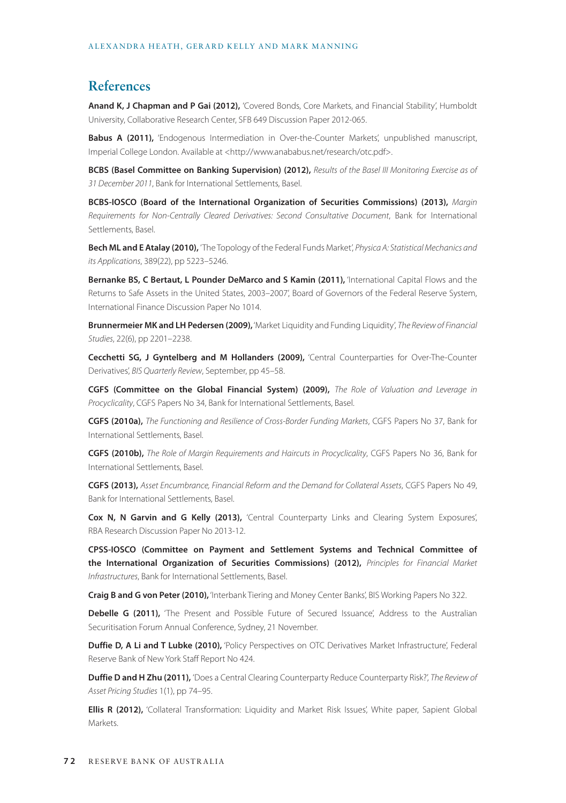### **References**

**Anand K, J Chapman and P Gai (2012),** 'Covered Bonds, Core Markets, and Financial Stability', Humboldt University, Collaborative Research Center, SFB 649 Discussion Paper 2012-065.

Babus A (2011), 'Endogenous Intermediation in Over-the-Counter Markets', unpublished manuscript, Imperial College London. Available at <http://www.anababus.net/research/otc.pdf>.

**BCBS (Basel Committee on Banking Supervision) (2012),** *Results of the Basel III Monitoring Exercise as of 31 December 2011*, Bank for International Settlements, Basel.

**BCBS-IOSCO (Board of the International Organization of Securities Commissions) (2013),** *Margin Requirements for Non-Centrally Cleared Derivatives: Second Consultative Document*, Bank for International Settlements, Basel.

**Bech ML and E Atalay (2010),** 'The Topology of the Federal Funds Market', *Physica A: Statistical Mechanics and its Applications*, 389(22), pp 5223–5246.

**Bernanke BS, C Bertaut, L Pounder DeMarco and S Kamin (2011),** 'International Capital Flows and the Returns to Safe Assets in the United States, 2003–2007', Board of Governors of the Federal Reserve System, International Finance Discussion Paper No 1014.

**Brunnermeier MK and LH Pedersen (2009),** 'Market Liquidity and Funding Liquidity', *The Review of Financial Studies*, 22(6), pp 2201–2238.

**Cecchetti SG, J Gyntelberg and M Hollanders (2009),** 'Central Counterparties for Over-The-Counter Derivatives', *BIS Quarterly Review*, September, pp 45–58.

**CGFS (Committee on the Global Financial System) (2009),** *The Role of Valuation and Leverage in Procyclicality*, CGFS Papers No 34, Bank for International Settlements, Basel.

**CGFS (2010a),** *The Functioning and Resilience of Cross-Border Funding Markets*, CGFS Papers No 37, Bank for International Settlements, Basel.

**CGFS (2010b),** *The Role of Margin Requirements and Haircuts in Procyclicality*, CGFS Papers No 36, Bank for International Settlements, Basel.

**CGFS (2013),** *Asset Encumbrance, Financial Reform and the Demand for Collateral Assets*, CGFS Papers No 49, Bank for International Settlements, Basel.

**Cox N, N Garvin and G Kelly (2013),** 'Central Counterparty Links and Clearing System Exposures', RBA Research Discussion Paper No 2013-12.

**CPSS-IOSCO (Committee on Payment and Settlement Systems and Technical Committee of the International Organization of Securities Commissions) (2012),** *Principles for Financial Market Infrastructures*, Bank for International Settlements, Basel.

**Craig B and G von Peter (2010),** 'Interbank Tiering and Money Center Banks', BIS Working Papers No 322.

Debelle G (2011), 'The Present and Possible Future of Secured Issuance', Address to the Australian Securitisation Forum Annual Conference, Sydney, 21 November.

**Duffie D, A Li and T Lubke (2010),** 'Policy Perspectives on OTC Derivatives Market Infrastructure', Federal Reserve Bank of New York Staff Report No 424.

**Duffie D and H Zhu (2011),** 'Does a Central Clearing Counterparty Reduce Counterparty Risk?', *The Review of Asset Pricing Studies* 1(1), pp 74–95.

**Ellis R (2012),** 'Collateral Transformation: Liquidity and Market Risk Issues', White paper, Sapient Global Markets.